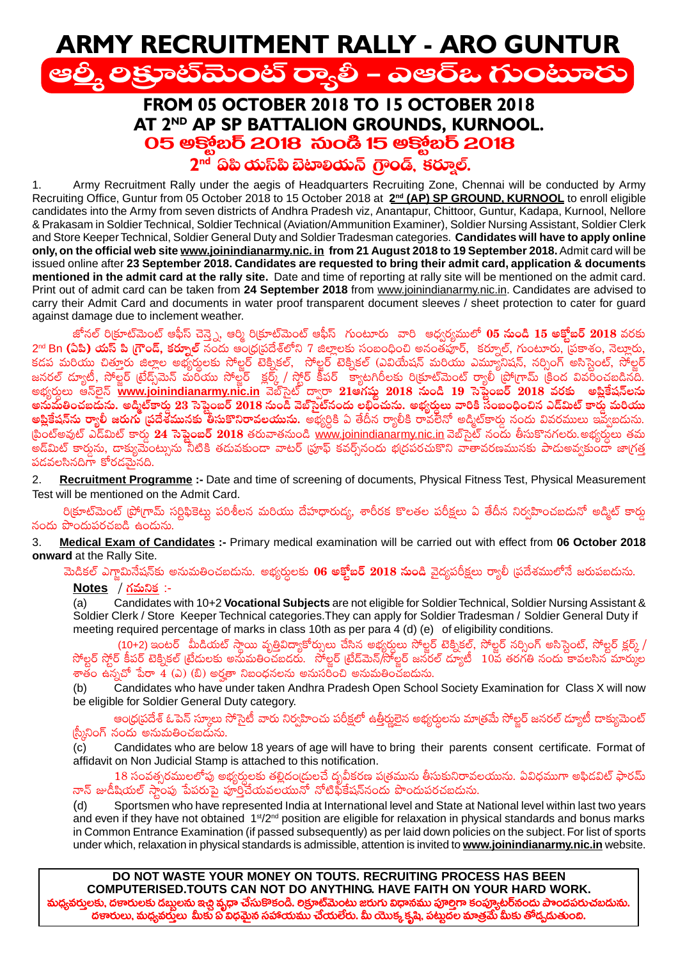# **ARMY RECRUITMENT RALLY - ARO GUNTUR** ఆల్తీ లక్రూట్మెంట్ ర్యాలీ – ఎఆర్ఒ గుంటూరు

## **FROM 05 OCTOBER 2018 TO 15 OCTOBER 2018** AT 2ND AP SP BATTALION GROUNDS, KURNOOL. 05 ఆక్మోబర్ 2018 నుండి 15 అక్మోబర్ 2018 2<sup>nd</sup> ఏపి యస్ట్ బెటాలియన్ గ్రాండ్ కరూల్.

Army Recruitment Rally under the aegis of Headquarters Recruiting Zone, Chennai will be conducted by Army  $1.$ Recruiting Office, Guntur from 05 October 2018 to 15 October 2018 at 2<sup>nd</sup> (AP) SP GROUND, KURNOOL to enroll eligible candidates into the Army from seven districts of Andhra Pradesh viz, Anantapur, Chittoor, Guntur, Kadapa, Kurnool, Nellore & Prakasam in Soldier Technical, Soldier Technical (Aviation/Ammunition Examiner), Soldier Nursing Assistant, Soldier Clerk and Store Keeper Technical, Soldier General Duty and Soldier Tradesman categories. Candidates will have to apply online only, on the official web site www.joinindianarmy.nic. in from 21 August 2018 to 19 September 2018. Admit card will be issued online after 23 September 2018. Candidates are requested to bring their admit card, application & documents mentioned in the admit card at the rally site. Date and time of reporting at rally site will be mentioned on the admit card. Print out of admit card can be taken from 24 September 2018 from www.joinindianarmy.nic.in. Candidates are advised to carry their Admit Card and documents in water proof transparent document sleeves / sheet protection to cater for guard against damage due to inclement weather.

జోనల్ రిక్రూట్మెంట్ ఆఫీస్ చెన్నై, ఆర్మి రిక్రూట్మెంట్ ఆఫీస్ గుంటూరు వారి ఆధ్వర్యములో **05 నుండి 15 అక్తోబర్ 2018** వరకు 2<sup>nd</sup> Bn (ఏపీ) యస్ పి గ్రౌండ్, కర్నూల్ నందు అంధ్రుపదేశ్లోని 7 జిల్లాలకు సంబంధించి అనంతహ్రార్, కర్నూల్, గుంటూరు, ద్రకాశం, నెల్లూరు, 2 ' Bi (టీఐ) యీని డి (: రెడ్సీల్ నిండా కాండ్రాడుకులా నా : దాక్షులా నా కాండా కాగా కాండ్రాడు నా కాండ్రాడు కాండ్ర<br>కడప మరియు చిత్తూరు జిల్లాల అభ్యర్థులకు సోల్జర్ టెక్నికల్, సోల్జర్ టెక్నికల్ (ఎవియేషన్ మరియు ఎమ్యూనిషన్, నర్సిం అనుమతించబడును. అద్మిట్కారు 23 సెప్టెంబర్ 2018 నుండి వెబ్సెట్నందు లభించును. అభ్యర్ధులు వారికి సంబంధించిన ఎడ్ఏుట్ కారు మరియు <mark>అప్లికేషన్ను ర్యాలీ జరుగు ప్రదేశమునకు తీసుకొనిరావలయును.</mark> అభ్యర్ధికి ఏ తేదీన ర్యాలీకి రావలేనో అడ్మిట్కార్డు నందు వివరములు ఇవ్వబదును. |పింట్అవుట్ ఎడ్ఏుట్ కారు 24 సెప్టెంబర్ 2018 తరువాతనుండి www.joinindianarmy.nic.in వెబ్సైట్ నందు తీసుకొనగలరు.అభ్యర్థులు తమ .<br>అడ్ఐుట్ కార్తును, దాక్యుమెంట్సును నీటికి తదువకుండా వాటర్ (పూఫ్ కవర్చ్నందు భ(దపరచుకొని వాతావరణమునకు పాదుఅవ్వకుండా జాగత పడవలసినదిగా కోరడమైనది.

Recruitment Programme :- Date and time of screening of documents, Physical Fitness Test, Physical Measurement  $\mathbf{2}$ . Test will be mentioned on the Admit Card.

రిక్రూట్మెంట్ (పోగ్రామ్ సర్టిఫికెట్లు పరిశీలన మరియు దేహధారుడ్య, శారీరక కొలతల పరీక్షలు ఏ తేదీన నిర్వహించబదునో అడ్మిట్ కార్తు నందు పొందుపరచబడి ఉందును.

Medical Exam of Candidates :- Primary medical examination will be carried out with effect from 06 October 2018 3. onward at the Rally Site.

మెడికల్ ఎగ్జామినేషన్కు అనుమతించబదును. అభ్యర్ధులకు 06 అక్తోబర్ 2018 నుండి వైద్యపరీక్షలు ర్యాలీ (పదేశములోనే జరుపబదును.

## <u>Notes / గమనిక</u> :-

Candidates with 10+2 Vocational Subjects are not eligible for Soldier Technical, Soldier Nursing Assistant & Soldier Clerk / Store Keeper Technical categories. They can apply for Soldier Tradesman / Soldier General Duty if meeting required percentage of marks in class 10th as per para 4 (d) (e) of eligibility conditions.

(10+2) ఇంటర్ మీడియట్ స్థాయి వృత్తివిద్యాకోర్సులు చేసిన అభ్యర్ధులు సోల్జర్ టెక్నికల్, సోల్జర్ నర్సింగ్ అసిస్టెంట్, సోల్టర్ క్లర్క్ /<br>సోల్టర్ స్టోర్ కీపర్ టెక్నికల్ ట్రేడులకు అనుమతించబడరు. సోల్జర్ ట్రేడ్మెన్/సోల్జర్ జనరల్  $\vec{c}$ తం ఉన్నచో పేరా  $\vec{4}$  (ఎ) (బి) అర్హతా నిబంధనలను అనుసరించి అనుమతించబడును.

Candidates who have under taken Andhra Pradesh Open School Society Examination for Class X will now  $(b)$ be eligible for Soldier General Duty category.

ఆంధ్రపదేశ్ ఓపెన్ స్మూలు సోసైటీ వారు నిర్వహించు పరీక్షలో ఉత్తీర్ఘులైన అభ్యర్తులను మాత్రమే సోల్హర్ జనరల్ ద్యూటీ దాక్యుమెంట్ (స్మీనింగ్ నందు అనుమతించబదును.

 $(c)$ Candidates who are below 18 years of age will have to bring their parents consent certificate. Format of affidavit on Non Judicial Stamp is attached to this notification.

 $18$  సంవత్సరములలోపు అభ్యర్ధులకు తల్లిదం(దులచే దృవీకరణ ప(తమును తీసుకునిరావలయును. ఏవిధముగా అఫిదవిట్ ఫారమ్ నాన్ జుడీషియల్ స్టాంపు పేపరుపై పూర్తిచేయవలయునో నోటిఫికేషన్నందు పొందుపరచబడును.

Sportsmen who have represented India at International level and State at National level within last two years  $(d)$ and even if they have not obtained 1<sup>st</sup>/2<sup>nd</sup> position are eligible for relaxation in physical standards and bonus marks in Common Entrance Examination (if passed subsequently) as per laid down policies on the subject. For list of sports under which, relaxation in physical standards is admissible, attention is invited to www.joinindianarmy.nic.in website.

DO NOT WASTE YOUR MONEY ON TOUTS. RECRUITING PROCESS HAS BEEN COMPUTERISED. TOUTS CAN NOT DO ANYTHING. HAVE FAITH ON YOUR HARD WORK. మధ్యవర్తులకు, దణరులకు దబ్బలను ఇచ్చి వృధా చేసుకొకండి. లక్రూట్మెంటు జరుగు విధానము పూల్తిగా కంప్యూటర్నందు పాందపరుచబడును. దణారులు, మధ్యవరులు మీకు ప్ విధమైన సహాయము చేయలేరు. మీ యొక్క కృష్ణి, పట్నదల మాత్రమే మీకు తోడ్చడుతుంది.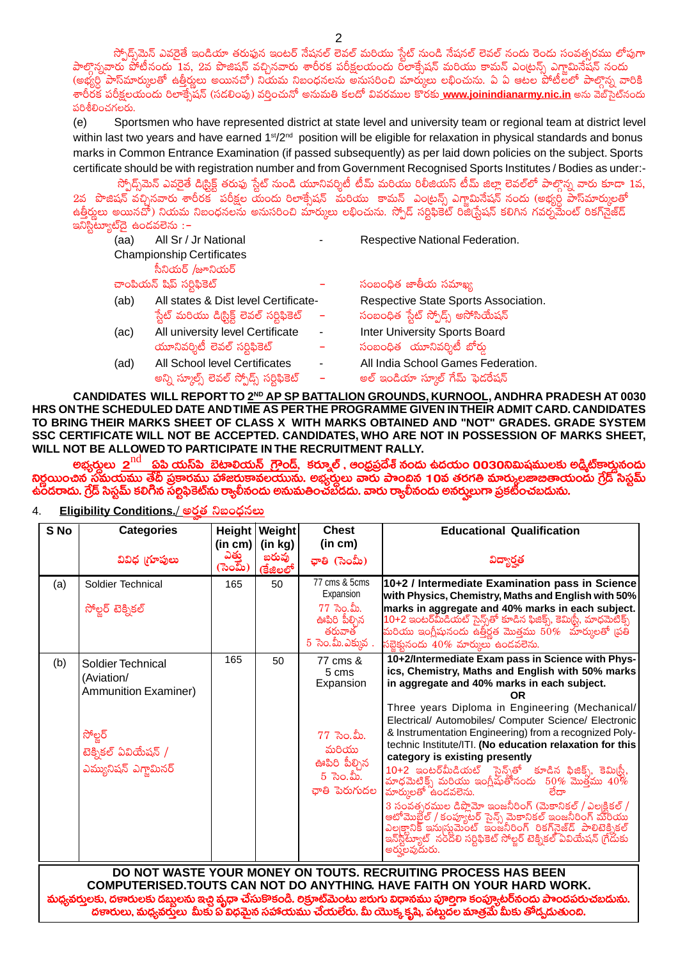స్పోద్స్మెమ్ ఎవరైతే ఇండియా తరుఫున ఇంటర్ నేషనల్ లెవల్ మరియు స్టేట్ నుండి నేషనల్ లెవల్ నందు రెండు సంవత్సరము లోపుగా పాల్గొన్నవారు పోటీనందు 1వ, 2వ పొజిషన్ వచ్చినవారు శారీరక పరీక్షలయందు రోలాక్సేషన్ మరియు కామన్ ఎంట్రన్స్ ఎగ్జామినేషన్ నందు (అభ్యర్ధి పాస్ట్ మార్కులతో ఉత్తీర్ణులు అయినచో) నియమ నిబంధనలను అనుసరించి మార్కులు లభించును. ఏ ఏ ఆటల పోటీలలో పాల్గొన్న వారికి శారీరక పరీక్షలయందు రిలాక్సేషన్ (సడలింపు) వర్తించునో అనుమతి కలదో వివరముల కొరకు\_www.joinindianarmy.nic.in అను వెబ్సెట్నందు పరిశీలించగలరు.

Sportsmen who have represented district at state level and university team or regional team at district level  $(e)$ within last two years and have earned 1<sup>st</sup>/2<sup>nd</sup> position will be eligible for relaxation in physical standards and bonus marks in Common Entrance Examination (if passed subsequently) as per laid down policies on the subject. Sports certificate should be with registration number and from Government Recognised Sports Institutes / Bodies as under:-

స్పోద్స్ట్మెన్ ఎవరైతే డిర్టిక్ట్ తరుఫు స్టేట్ నుండి యూనివర్శిటీ టీమ్ మరియు రిలీజియస్ టీమ్ జిల్లా లెవల్లో పాల్గొన్న వారు కూడా 1వ, 2వ పొజిషన్ వచ్చినవారు శారీరకో పరీక్షల యందు రిలాక్సేషన్ మరియు కామన్ ఎంట్రన్స్ ఎగ్జామినేషన్ నందు (అభ్యర్ధ పాస్మార్కులతో ఉత్తీర్హులు అయినచో) నియమ నిబంధనలను అనుసరించి మార్కులు లభించును. స్పోడ్ సర్టిఫికెట్ రిజి(స్టేషన్ కలిగిన గవర్నమేంట్ రికగ్నెైజ్డ్ ఇనిస్టిట్యూట్αై ఉండవలెను : –

| (aa) | All Sr / Jr National                      |                | Respective National Federation.      |
|------|-------------------------------------------|----------------|--------------------------------------|
|      | <b>Championship Certificates</b>          |                |                                      |
|      | సీనియర్ /జూనియర్                          |                |                                      |
|      | చాంపియన్ షిప్ సర్టిఫికెట్                 |                | సంబంధిత జాతీయ సమాఖ్య                 |
| (ab) | All states & Dist level Certificate-      |                | Respective State Sports Association. |
|      | ్టేట్ మరియు డిస్టిక్ట్ లెవల్ సర్టిఫికెట్  |                | సంబంధిత స్టేట్ స్పోడ్స్ అసోసియేషన్   |
| (ac) | All university level Certificate          | $\blacksquare$ | <b>Inter University Sports Board</b> |
|      | యూనివర్శిటీ లెవల్ సర్టిఫికెట్             |                | సంబంధిత యూనివర్శిటీ బోర్డు           |
| (ad) | All School level Certificates             |                | All India School Games Federation.   |
|      | అన్ని స్మూల్స్ లెవల్ స్పోడ్స్ సర్టిఫికెట్ |                | అల్ ఇండియా స్మూల్ గేమ్ ఫెడరేషన్      |
|      |                                           |                |                                      |

CANDIDATES WILL REPORT TO 2ND AP SP BATTALION GROUNDS, KURNOOL, ANDHRA PRADESH AT 0030 HRS ON THE SCHEDULED DATE AND TIME AS PER THE PROGRAMME GIVEN IN THEIR ADMIT CARD. CANDIDATES TO BRING THEIR MARKS SHEET OF CLASS X WITH MARKS OBTAINED AND "NOT" GRADES. GRADE SYSTEM SSC CERTIFICATE WILL NOT BE ACCEPTED. CANDIDATES, WHO ARE NOT IN POSSESSION OF MARKS SHEET, WILL NOT BE ALLOWED TO PARTICIPATE IN THE RECRUITMENT RALLY.

అభ్వర్తులు  $\rm \,2^{nd}$  . పపి యస్ఏి బెటాలియన్ గ్రౌండ్, కర్మూల్ , అంధ్రప్రదేశ్ నందు ఉదయం 0030నిమిషములకు అడ్తిట్**కార్డునందు** నిర్ణయించిన సమయము తేదీ ప్రకారము హాజరుకావలయును. అభ్రస్తులు వారు పాందిన 10వ తరగతి మార్కులజాజితాయందు గ్రేడ్ సిస్టమ్<br>ఉందరాదు. గ్రేడ్ సిస్టమ్ కలిగిన సల్టిఫికెట్ను ర్యాలీనందు అనుమతించబడదు. వారు ర్యాలీనందు అనర్హులుగా ప్రకటించబడు

**Height Weight Educational Qualification** S<sub>No</sub> **Categories Chest**  $(in cm)$  $(in kg)$  $(in cm)$ <sup>్ ఎత్తు</sup><br>(సెంమీ) బరువు వివిధ గూపులు చాతి (సెంమీ) విద్యార్హత కేజిలలో  $77 \text{ cms}$  & 5 $\text{cms}$ 10+2 / Intermediate Examination pass in Science Soldier Technical 165 50  $(a)$ Expansion with Physics, Chemistry, Maths and English with 50%  $77$  సెం.మీ. marks in aggregate and 40% marks in each subject. సోల్టర్ టెక్నికల్ 10+2 ఇంటర్మ్ఏీడియట్ సైన్స్తో కూడిన ఫిజిక్స్, కెమిర్టీ, మాధమెటీక్స్<br>మరియు ఇంగ్లీషునందు ఉత్తీర్ణత మొత్తము 50% మార్కులతో (పతి ఊపిరి పీల్సిన తరువాత  $5$  సెం.మీ.ఎక్కువ.  $\delta$ బ్రెక్తునందు  $40\%$  మార్ములు ఉండవలెను. 10+2/Intermediate Exam pass in Science with Phys- $165$ 50 77 cms &  $(b)$ Soldier Technical ics, Chemistry, Maths and English with 50% marks  $5 \, \text{cms}$ (Aviation/ Expansion in aggregate and 40% marks in each subject. **Ammunition Examiner) OR** Three years Diploma in Engineering (Mechanical/ Electrical/ Automobiles/ Computer Science/ Electronic & Instrumentation Engineering) from a recognized Poly- $77$  సెం.మీ. సోలర్ technic Institute/ITI. (No education relaxation for this మరియు టెక్నికల్ ఏవియేషన్ / category is existing presently ఊపిరి పీల్చిన ఎమ్యునిషన్ ఎగ్తామినర్  $5$   $\sqrt{2}$   $\infty$ . ఛాతి పెరుగుదల మార్కులతో ఉండవలెను. ಠೆದ್ --- ---- -- -- ----- -----<br>3 సంవత్సరముల డిప్లొమో ఇంజనీరింగ్ (మెకానికల్ / ఎల్కక్టికల్ /<br>అటోమొబైల్ / కంప్యూటర్ సైన్స్ మెకానికల్ ఇంజనీరింగ్ మరియు<br>ఎల్కక్టానిక్ ఇను[స్టమెంట్ ఇంజనీరింగ్ రికగ్వ్రెజ్డ్ పాలిటెక్నికల్<br>ఇన్ట్టోట్యూ అరుౖలవుదురు. DO NOT WASTE YOUR MONEY ON TOUTS. RECRUITING PROCESS HAS BEEN

Eligibility Conditions./ అరత నిబంధనలు  $\overline{4}$ 

COMPUTERISED.TOUTS CAN NOT DO ANYTHING. HAVE FAITH ON YOUR HARD WORK. మధ్యవర్తులకు, దణరులకు దబ్బలను ఇచ్చి వృధా చేసుకొకండి. లక్రూట్మెంటు జరుగు విధానము పూల్తిగా కంప్యూటర్నందు పాందపరుచబడును. దణారులు, మధ్యవరులు మీకు వ్రీ విధమైన సహాయము చేయలేరు. మీ యొక్క కృషి, పట్నదల మాత్రమే మీకు తోడ్చదుతుంది.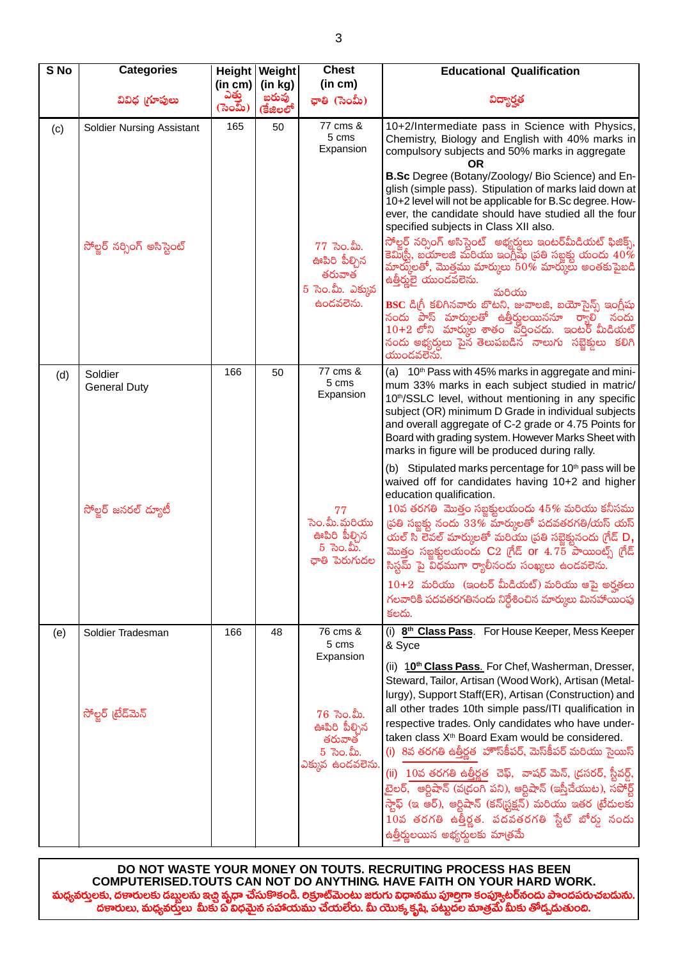| S No | <b>Categories</b>              |                  | Height   Weight   | <b>Chest</b>                                                                 | <b>Educational Qualification</b>                                                                                                                                                                                                                                                                                                                                                                                                                                                                                                   |  |
|------|--------------------------------|------------------|-------------------|------------------------------------------------------------------------------|------------------------------------------------------------------------------------------------------------------------------------------------------------------------------------------------------------------------------------------------------------------------------------------------------------------------------------------------------------------------------------------------------------------------------------------------------------------------------------------------------------------------------------|--|
|      |                                | (in cm)          | (in kg)           | (in cm)                                                                      |                                                                                                                                                                                                                                                                                                                                                                                                                                                                                                                                    |  |
|      | వివిధ గ్రూపులు                 | ఎత్తు<br>(సెంమ్) | బరువు<br>(కేజిలలో | ఛాతి (సెంమీ)                                                                 | విద్యార్హత                                                                                                                                                                                                                                                                                                                                                                                                                                                                                                                         |  |
| (c)  | Soldier Nursing Assistant      | 165              | 50                | 77 cms &<br>5 cms<br>Expansion                                               | 10+2/Intermediate pass in Science with Physics,<br>Chemistry, Biology and English with 40% marks in<br>compulsory subjects and 50% marks in aggregate<br>OR                                                                                                                                                                                                                                                                                                                                                                        |  |
|      |                                |                  |                   |                                                                              | B.Sc Degree (Botany/Zoology/ Bio Science) and En-<br>glish (simple pass). Stipulation of marks laid down at<br>10+2 level will not be applicable for B.Sc degree. How-<br>ever, the candidate should have studied all the four<br>specified subjects in Class XII also.                                                                                                                                                                                                                                                            |  |
|      | సోల్జర్ నర్సింగ్ అసిస్టెంట్    |                  |                   | $77$ ెసెం.మీ.<br>ఊపిరి పీల్చిన<br>తరువాత<br>5 సెం.మీ. ఎక్కువ                 | సోల్జర్ నర్సింగ్ అసిస్టెంట్ అభ్యర్తులు ఇంటర్మీుడియట్ ఫిజిక్స్,<br>కెమిర్టీ, బయాలజి మరియు ఇంగ్లీషు (పతి సబ్జక్షు యందు $40\%$<br>మార్కులతో, మొత్తము మార్కులు $50\%$ మార్కులు అంతకుపైబడి<br>ఉత్తీర్మలై యుందవలెను.<br>మరియు                                                                                                                                                                                                                                                                                                            |  |
|      |                                |                  |                   | ఉందవలెను.                                                                    | BSC డి(గీ కలిగినవారు బొటని, జువాలజి, బయోసైన్స్ ఇంగ్లీషు<br>నందు పాస్ మార్కులతో ఉత్తీర్ణులయిననూ ర్యాలి నందు<br>$10+2$ లోని  మారుుల శాతం  వర్షించదు.  ఇంటర్ మీడియట్<br>నందు అభ్యర్ధులు పైన తెలుపబడిన నాలుగు సబ్జెక్తులు కలిగి<br>యుండవలేను.                                                                                                                                                                                                                                                                                          |  |
| (d)  | Soldier<br><b>General Duty</b> | 166              | 50                | 77 cms &<br>5 cms<br>Expansion                                               | (a) 10 <sup>th</sup> Pass with 45% marks in aggregate and mini-<br>mum 33% marks in each subject studied in matric/<br>10th/SSLC level, without mentioning in any specific<br>subject (OR) minimum D Grade in individual subjects<br>and overall aggregate of C-2 grade or 4.75 Points for<br>Board with grading system. However Marks Sheet with<br>marks in figure will be produced during rally.                                                                                                                                |  |
|      | సోల్జర్ జనరల్ ద్యూటీ           |                  |                   | 77<br>సెం.మీ.మరియు<br>ఊపిరి పీల్చిన<br>$5\,$ సెం.మీ.<br>ఛాతి పెరుగుదల        | (b) Stipulated marks percentage for 10 <sup>th</sup> pass will be<br>waived off for candidates having 10+2 and higher<br>education qualification.<br>$10$ వ తరగతి మొత్తం సబ్జక్తులయందు $45\%$ మరియు కనీసము<br>స్రతి సబ్జక్లు నందు $33\%$ మార్కులతో పదవతరగతి/యస్ యస్<br>యల్ సి లేవల్ మార్కులతో మరియు (పతి సబ్జెక్టునందు గ్రేడ్ $\mathsf{D},$<br>మొత్తం సబ్జక్షులయందు $C2$ (గేడ్ or $4.75$ పాయింట్స్ (గేడ్<br>సిస్టమ్ పై విధముగా ర్యాలీనందు సంఖ్యలు ఉండవలెను.                                                                        |  |
|      |                                |                  |                   |                                                                              | $10+2$ మరియు (ఇంటర్ మీడియట్) మరియు ఆపై అర్హతలు<br>గలవారికి పదవతరగతినందు నిర్దేశించిన మార్కులు మినహాయింపు<br>కలదు.                                                                                                                                                                                                                                                                                                                                                                                                                  |  |
| (e)  | Soldier Tradesman              | 166              | 48                | 76 cms &<br>5 cms<br>Expansion                                               | (i) 8 <sup>th</sup> Class Pass. For House Keeper, Mess Keeper<br>& Syce<br>(ii) 10 <sup>th</sup> Class Pass. For Chef, Washerman, Dresser,<br>Steward, Tailor, Artisan (Wood Work), Artisan (Metal-<br>lurgy), Support Staff(ER), Artisan (Construction) and                                                                                                                                                                                                                                                                       |  |
|      | సోల్జర్ (టేడ్మెన్              |                  |                   | $76$ సెం.మీ.<br>ఊపిరి పీల్చిన<br>తరువాత<br>$5\,$ సెం.మీ.<br>ఎక్కువ ఉండవలెను. | all other trades 10th simple pass/ITI qualification in<br>respective trades. Only candidates who have under-<br>taken class X <sup>th</sup> Board Exam would be considered.<br>(i) 8వ తరగతి ఉత్తీర్ణత హౌస్§పర్, మెస్§పర్ మరియు సైయిస్<br>(ii) 10వ తరగతి ఉత్తీర్ణత చెఫ్, వాషర్ మెన్, డ్రసరర్, స్టీవర్డ్,<br>టైలర్,  ఆర్టిషాన్ (వ(డంగి పని), ఆర్టిషాన్ (ఇస్తీచేయుట), సపోర్ట్<br>స్టాఫ్ (ఇ ఆర్), ఆర్టిషాన్ (కన్(స్టక్షన్) మరియు ఇతర (టేదులకు<br>10వ తరగతి ఉత్తీర్ణత. పదవతరగతి స్టేట్ బోర్డు నందు<br>ఉత్తీర్ణులయిన అభ్యర్దులకు మాత్రమే |  |

DO NOT WASTE YOUR MONEY ON TOUTS. RECRUITING PROCESS HAS BEEN COMPUTERISED.TOUTS CAN NOT DO ANYTHING. HAVE FAITH ON YOUR HARD WORK. మధ్యవరులకు, దణరులకు డబ్బలను ఇచ్చే వ్యధా చేసుకొకండి. లక్రూట్మెంటు జరుగు విధానము పూల్తగా కంప్యూటర్నందు పాందపరుచబదును.<br>దణారులు, మధ్యవరులు మీకు ఏ విధమైన సహాయుము చేయలేరు. మీ యొక్క కృషి, పట్టుదల మాత్రమే మీకు తోడ్పదుతుంది.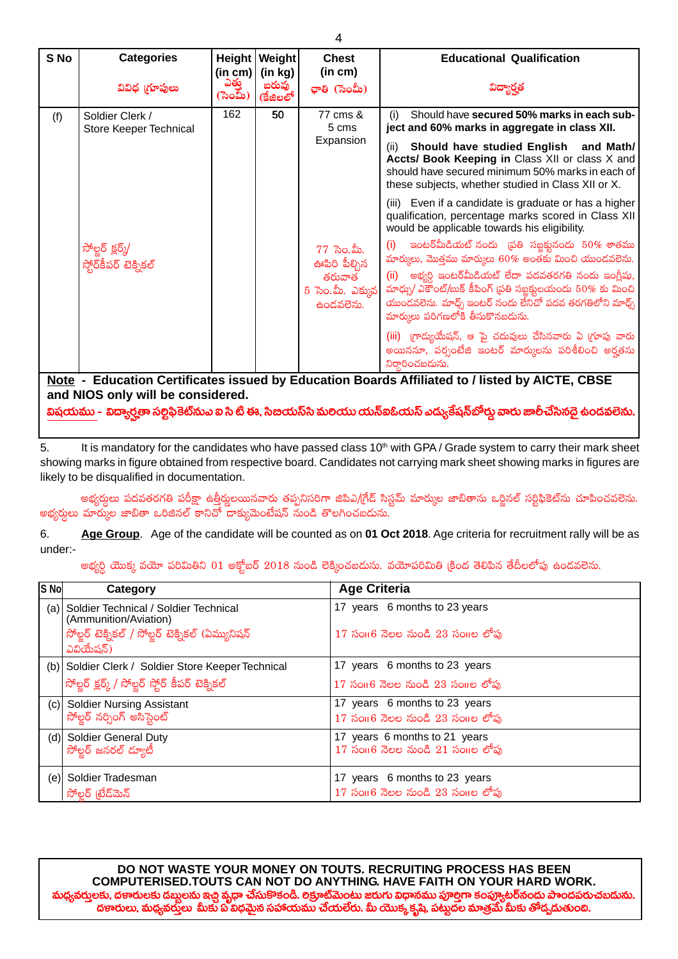| S <sub>No</sub>                                                                                                                                                                                                                      | <b>Categories</b>                         |                  | Height   Weight<br>(in cm) $\vert$ (in kg) | <b>Chest</b><br>(in cm)                   | <b>Educational Qualification</b>                                                                                                                                                                                             |  |
|--------------------------------------------------------------------------------------------------------------------------------------------------------------------------------------------------------------------------------------|-------------------------------------------|------------------|--------------------------------------------|-------------------------------------------|------------------------------------------------------------------------------------------------------------------------------------------------------------------------------------------------------------------------------|--|
|                                                                                                                                                                                                                                      | వివిధ గ్రూపులు                            | ಎತ್ತು<br>(సెంమ్) | బరువు<br>(కేజిలలో                          | ఛాతి (సెంమీ)                              | విద్యార్హత                                                                                                                                                                                                                   |  |
| (f)                                                                                                                                                                                                                                  | Soldier Clerk /<br>Store Keeper Technical | 162              | 50                                         | 77 cms &<br>5 cms                         | Should have secured 50% marks in each sub-<br>(i)<br>ject and 60% marks in aggregate in class XII.                                                                                                                           |  |
|                                                                                                                                                                                                                                      |                                           |                  |                                            | Expansion                                 | Should have studied English and Math/<br>(ii)<br>Accts/ Book Keeping in Class XII or class X and<br>should have secured minimum 50% marks in each of<br>these subjects, whether studied in Class XII or X.                   |  |
|                                                                                                                                                                                                                                      |                                           |                  |                                            |                                           | (iii) Even if a candidate is graduate or has a higher<br>qualification, percentage marks scored in Class XII<br>would be applicable towards his eligibility.                                                                 |  |
|                                                                                                                                                                                                                                      | సోల్జర్ క్లర్క్/<br>స్టోర్కీపర్ టెక్నికల్ |                  |                                            | $77$ సెం.మీ.<br>ఊపిరి పీల్చిన             | ఇంటర్ఏుీడియట్ నందు (పతి సబ్జక్లునందు $50\%$ శాతము<br>(i)<br>మార్కులు, మొత్తము మార్కులు 60% అంతకు మించి యుండవలెను.                                                                                                            |  |
|                                                                                                                                                                                                                                      |                                           |                  |                                            | తరువాత<br>$5$ సెం.మీ. ఎక్కువ<br>ఉందవలెను. | $(ii)$ అభ్యర్ధి ఇంటర్మీుడియట్ లేదా పదవతరగతి నందు ఇంగ్లీషు,<br>మాధ్భు/ ఎకౌంట్/బుక్ కీపింగ్ (పతి సబ్జక్టులయందు $50\%$ కు మించి<br>యుండవలెను. మాధ్చ్ ఇంటర్ నందు లేనిచో పదవ తరగతిలోని మాధ్చ్<br>మార్ములు పరిగణలోకి తీసుకొనబడును. |  |
|                                                                                                                                                                                                                                      |                                           |                  |                                            |                                           | (iii) గ్రాద్యుయేషన్, ఆ పై చదువులు చేసినవారు ఏ గ్రూపు వారు<br>అయిననూ, పర్పంటేజి ఇంటర్ మార్ములను పరిశీలించి అర్హతను<br>నిర్ధారించబడును.                                                                                        |  |
| Note - Education Certificates issued by Education Boards Affiliated to / listed by AICTE, CBSE<br>and NIOS only will be considered.<br>$\mathcal{L}$ . $\mathcal{L}$ . $\mathcal{L}$ . $\mathcal{L}$ . $\mathcal{L}$ . $\mathcal{L}$ |                                           |                  |                                            |                                           |                                                                                                                                                                                                                              |  |

విషయము - విద్యార్హతా సర్టిఫికెట్మన ఐ సి టి ఈ, సిబయస్స్ మలయు యన్ఐఓయస్ ఎద్యుకేషన్ఐీర్శు వారు జాలీచేసినదై ఉండవలెను.

5. It is mandatory for the candidates who have passed class 10<sup>th</sup> with GPA / Grade system to carry their mark sheet showing marks in figure obtained from respective board. Candidates not carrying mark sheet showing marks in figures are likely to be disqualified in documentation.

అభ్యర్ధులు పదవతరగతి పరీక్షా ఉత్తీర్శులయినవారు తప్పనిసరిగా జిపిఎ/గ్రేడ్ సిస్టమ్ మార్కుల జాబితాను ఒర్జినల్ సర్టిఫికెట్ను చూపించవలెను. అభ్యర్ధులు మార్కుల జాబితా ఒరిజినల్ కానిచో దాక్యుమెంటేషన్ నుండి తొలగించబడును.

Age Group. Age of the candidate will be counted as on 01 Oct 2018. Age criteria for recruitment rally will be as 6. under:-

అభ్యర్ధి యొక్క వయో పరిమితిని 01 అక్తోబర్ 2018 నుండి లెక్కించబడును. వయోపరిమితి క్రింద తెలిపిన తేదీలలోపు ఉండవలెను.

| S No  | Category                                                                                                                         | <b>Age Criteria</b>                                                        |
|-------|----------------------------------------------------------------------------------------------------------------------------------|----------------------------------------------------------------------------|
| (a) l | Soldier Technical / Soldier Technical<br>(Ammunition/Aviation)<br>సోల్జర్ టెక్నికల్ / సోల్జర్ టెక్నికల్ (ఏమ్యునిషన్<br>ఎవియేషన్) | 17 years 6 months to 23 years<br>$17$ సం $16$ నెలల నుండి $23$ సం $10$ లోపు |
|       | (b) Soldier Clerk / Soldier Store Keeper Technical                                                                               | 17 years 6 months to 23 years                                              |
|       | సోల్జర్ క్లర్క్ / సోల్జర్ స్టోర్ కీపర్ టెక్నికల్                                                                                 | $17$ సం $16$ నెలల నుండి $23$ సం $10$ లోపు                                  |
| (c)   | <b>Soldier Nursing Assistant</b>                                                                                                 | 17 years 6 months to 23 years                                              |
|       | సోల్జర్ నర్సింగ్ అసిస్టెంట్                                                                                                      | $17$ సం $16$ నెలల నుండి $23$ సం $10$ ల లోపు                                |
| (d)   | <b>Soldier General Duty</b>                                                                                                      | 17 years 6 months to 21 years                                              |
|       | సోల్టర్ జనరల్ ద్యూటీ                                                                                                             | $17$ సం $16$ నెలల నుండి $21$ సం $10$ ల లోపు                                |
| (e)   | Soldier Tradesman                                                                                                                | 17 years 6 months to 23 years                                              |
|       | సోల్షర్ (టేడ్మెన్                                                                                                                | $17$ సం $16$ నెలల నుండి $23$ సం $10$ ల లోపు                                |

DO NOT WASTE YOUR MONEY ON TOUTS. RECRUITING PROCESS HAS BEEN COMPUTERISED. TOUTS CAN NOT DO ANYTHING. HAVE FAITH ON YOUR HARD WORK. వర్తులకు, దణారులకు డబ్బలను ఇచ్చి <mark>వృధా చే</mark>సుకొకండి. రిక్రూట్ౖమెంటు జరుగు విధానము పూర్తిగా కంప్యూటర్**నందు పాందపరుచబ**దును. దణారులు, మధ్యవరు్తలు మీకు ప విధమైన సహాయము చేయలేరు. మీ యొక్క కృషి, పట్టుదల మాత్రమే మీకు తోడ్పడుతుంది.

 $\overline{4}$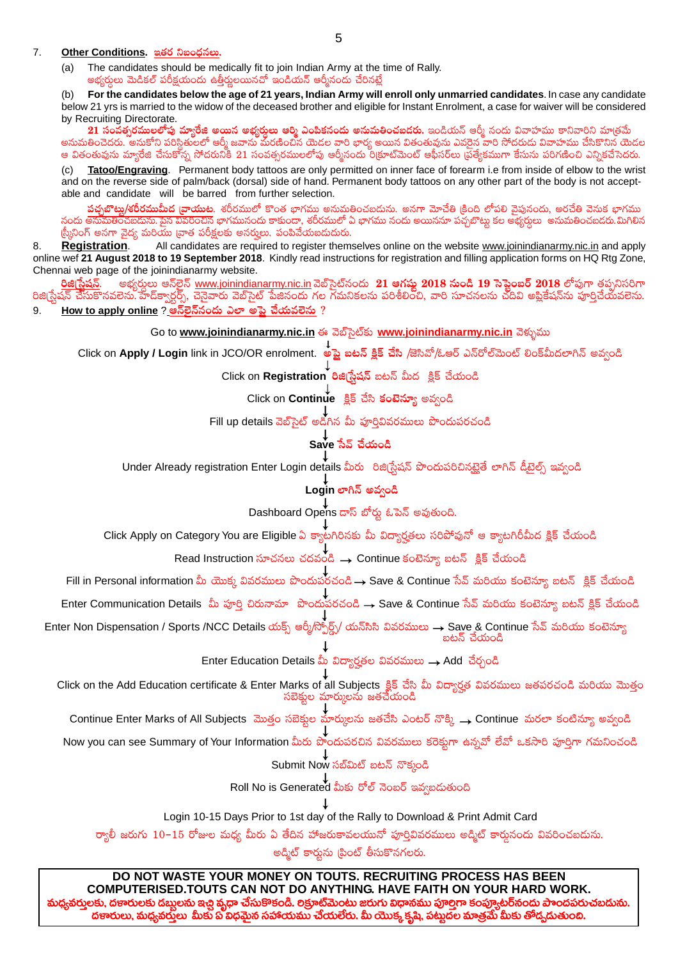#### $7<sub>1</sub>$ Other Conditions. ఇతర నిబంధనలు.

The candidates should be medically fit to join Indian Army at the time of Rally.  $(a)$ అభ్యర్తులు మెడికల్ పరీక్షయందు ఉత్తీర్తులయినచో ఇండియన్ ఆర్మీనందు చేరినట్టే

For the candidates below the age of 21 years, Indian Army will enroll only unmarried candidates. In case any candidate  $(b)$ below 21 yrs is married to the widow of the deceased brother and eligible for Instant Enrolment, a case for waiver will be considered by Recruiting Directorate.

21 సంవత్సరములలోపు మ్యారేజి అయిన అభ్యర్శలు ఆర్మి ఎంపికనందు అనుమతించబడరు. ఇండియన్ ఆర్మీ నందు వివాహము కానివారిని మాత్రమే అనుమతించెదరు. అనుకోని పరిస్థితులలో ఆర్మీ జవాను మరణించిన యెడల వారి భార్య అయిన వితంతువును ఎవరైన వారి సోదరుడు వివాహము చేసికొనిన యెడల ఆ వితంతువును మ్యారేజి చేసుకోన్న సోదరునికి 21 సంవత్సరములలోపు ఆర్మీనందు రిక్రూట్మెంట్ ఆఫీసర్లు (పైత్యేకముగా కేసును పరిగణించి ఎన్నికచేసెదరు.

Tatoo/Engraving. Permanent body tattoos are only permitted on inner face of forearm i.e from inside of elbow to the wrist  $(c)$ and on the reverse side of palm/back (dorsal) side of hand. Permanent body tattoos on any other part of the body is not acceptable and candidate will be barred from further selection.

<mark>పఛ్చబొట్లు/శరీరముమీద (వాయుట</mark>. శరీరములో కొంత భాగము అనుమతించబదును. అనగా మోచేతి (కింది లోపలి వైపునందు, అరచేతి వెనుక భాగము నందు అనుమతించబడును.పైన వివరించిన భాగమునందు కాకుందా, శరీరములో ఏ భాగము నందు అయిననూ పచ్చబొట్టు కల అభ్యర్థులు అనుమతించబడరు.మిగిలిన స్రీనింగ్ అనగా వైద్య మరియు [వాత పరీక్షలకు అనర్హులు. పంపివేయబడుదురు.

All candidates are required to register themselves online on the website www.joinindianarmy.nic.in and apply 8. **Registration.** online wef 21 August 2018 to 19 September 2018. Kindly read instructions for registration and filling application forms on HQ Rtg Zone, Chennai web page of the joinindianarmy website.

అభ్యర్థులు ఆన్5ైన్ www.joinindianarmy.nic.in వెబ్సెట్నందు 21 ఆగష్టు 2018 నుండి 19 సెప్టెంబర్ 2018 లోపుగా తప్పనిసరిగా రిజి[సేషన్. రిజి(స్టేషన్ చేసుకొనవలెను హేద్క్వార్టర్స్, చెనైవారు వెబ్సైట్ పేజినందు గల గమనికలను పరిశీలించి, వారి సూచనలను చదివి అప్లికేషన్ను పూర్తిచేయవలెను. <u>How to apply online ? ఆన్లెన్</u>నందు ఎలా అపె చేయవలెను ? 9.

Go to www.joinindianarmy.nic.in ఈ వెబ్సెట్కు www.joinindianarmy.nic.in వెళ్ళుము

Click on Apply / Login link in JCO/OR enrolment. అప్లై బటన్ క్లిక్ చేసి /జెసివో/ఓఆర్ ఎన్రోల్మెంట్ లింక్మీదలాగిన్ అవ్వండి

Click on Registration రిజిగ్టేషన్ బటన్ మీద క్లిక్ చేయండి

Click on Continue క్లిక్ చేసి కంటెన్యూ అవ్వండి

Fill up details వెబ్సైట్ అడిగిన మీ పూర్తివివరములు పొందుపరచండి

## ्।<br>Save సేవ్ చేయండి

Under Already registration Enter Login details మీరు రిజిగ్రేషన్ పొందుపరిచినట్లైతే లాగిన్ డీటైల్స్ ఇవ్వండి

## Login లాగిన్ అవ్వండి

Dashboard Opens డాస్ బోర్డు ఓపెన్ అవుతుంది.

Click Apply on Category You are Eligible ఏ క్యాటగిరినకు మీ విద్యార్హతలు సరిపోవునో ఆ క్యాటగిరీమీద క్లిక్ చేయండి

Fill in Personal information మీ యొక్క వివరములు పొందుపరచండి → Save & Continue సేవ్ మరియు కంటెన్యూ బటన్ క్షిక్ చేయండి

Enter Communication Details మీ పూర్తి చిరునామా పొందుపేరచండి → Save & Continue సేవ్ మరియు కంటెన్యూ బటన్ క్లిక్ చేయండి

Enter Non Dispensation / Sports /NCC Details యక్స్ అర్మీ/స్చోర్ట్స్/ యన్సిసి వివరములు → Save & Continue సేవ్ మరియు కంటెన్యూ బటన్ చేయండి

Enter Education Details మీ విద్యార్హతల వివరములు → Add చేర్చండి

Click on the Add Education certificate & Enter Marks of all Subjects క్లిక్ చేసి మీ విద్యార్హత వివరములు జతపరచండి మరియు మొత్తం సబెక్నల మార్కులను జతచేయండి

Continue Enter Marks of All Subjects మొత్తం సబెక్షుల మార్కులను జతచేసి ఎంటర్ నొక్కి  $\rightarrow$  Continue మరలా కంటిన్యూ అవ్వండి T

Now you can see Summary of Your Information మీరు పొందుపరచిన వివరములు కరెక్షుగా ఉన్నవో లేవో ఒకసారి పూర్తిగా గమనించండి

Submit Now సబ్మిట్ బటన్ నొక్కండి

Roll No is Generated మీకు రోల్ నెంబర్ ఇవ్వబడుతుంది

Login 10-15 Days Prior to 1st day of the Rally to Download & Print Admit Card

ర్యాలీ జరుగు 10–15 రోజుల మధ్య మీరు ఏ తేదిన హాజరుకావలయునో పూర్తివివరములు అద్మిట్ కార్డునందు వివరించబడును.

అడ్మిట్ కార్మను (పింట్ తీసుకొనగలరు.

DO NOT WASTE YOUR MONEY ON TOUTS. RECRUITING PROCESS HAS BEEN COMPUTERISED. TOUTS CAN NOT DO ANYTHING. HAVE FAITH ON YOUR HARD WORK. మధ్యవర్తులకు, దణరులకు దబ్బలను ఇచ్చి వృధా చేసుకొకండి. లక్రూట్మెంటు జరుగు విధానము పూల్తిగా కంప్యూటర్నందు పాందపరుచబడును. దణారులు, మధ్యవరులు మీకు ప్ విధమైన సహాయము చేయలేరు. మీ యొక్క కృష్ణి, పట్నదల మాత్రమే మీకు తోడ్చడుతుంది.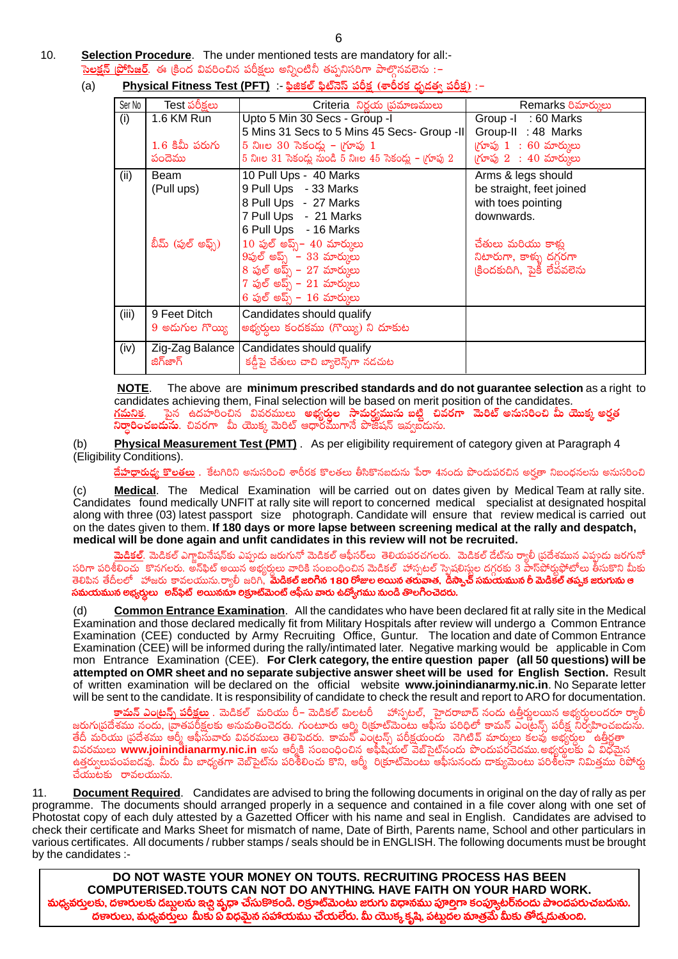$10<sub>1</sub>$ Selection Procedure. The under mentioned tests are mandatory for all:-<mark>సెలక్షన్ [పోసిజర్</mark>. ఈ [కింద వివరించిన పరీక్షలు అన్నింటినీ తప్పనిసరిగా పాల్తొనవలెను :–

#### Physical Fitness Test (PFT) :- ఫిజికల్ ఫిట్నెస్ పరీక్ష (శారీరక ధృడత్వ పరీక్ష) :–  $(a)$

| Ser No | Test పరీక్షలు     | Criteria నిర్ణయ (పమాణములు                                | Remarks రిమార్కులు                                |
|--------|-------------------|----------------------------------------------------------|---------------------------------------------------|
| (i)    | 1.6 KM Run        | Upto 5 Min 30 Secs - Group -I                            | Group -1: 60 Marks                                |
|        |                   | 5 Mins 31 Secs to 5 Mins 45 Secs- Group -II              | Group-II : 48 Marks                               |
|        | $1.6$ కిమీ పరుగు  | 5 నిగిల 30 సెకండ్లు – గూపు 1                             | $(\gamma \approx 1 \; : \; 60 \; \text{m}$ ర్ములు |
|        | పందెము            | 5 నిగిల 31 సెకండ్లు నుండి 5 నిగిల 45 సెకండ్లు - గ్రూపు 2 | $(\gamma$ గూపు 2: 40 మార్ములు                     |
| (ii)   | Beam              | 10 Pull Ups - 40 Marks                                   | Arms & legs should                                |
|        | (Pull ups)        | 9 Pull Ups - 33 Marks                                    | be straight, feet joined                          |
|        |                   | 8 Pull Ups - 27 Marks                                    | with toes pointing                                |
|        |                   | 7 Pull Ups - 21 Marks                                    | downwards.                                        |
|        |                   | 6 Pull Ups - 16 Marks                                    |                                                   |
|        | బీమ్ (పుల్ అఫ్స్) | $10$ పుల్ అప్స్ – $40$ మార్ములు                          | చేతులు మరియు కాళ్ళ                                |
|        |                   | $9$ పుల్ అప్స్ – $33$ మార్కులు                           | నిటారుగా, కాళ్ళు దగ్గరగా                          |
|        |                   | 8 పుల్ అప్స్ – 27 మార్కులు                               | (కిందకుదిగి, పైకీ లేవవలెను                        |
|        |                   | $7$ పుల్ అప్స్ – $21$ మార్కులు                           |                                                   |
|        |                   | 6 పుల్ అప్స్ – $16$ మార్ములు                             |                                                   |
| (iii)  | 9 Feet Ditch      | Candidates should qualify                                |                                                   |
|        | 9 అదుగుల గొయ్యి   | అభ్యర్థలు కందకము (గొయ్యి) ని దూకుట                       |                                                   |
| (iv)   |                   | Zig-Zag Balance   Candidates should qualify              |                                                   |
|        | జిగ్జాగ్          | కడ్డీపై చేతులు చాచి బ్యాలెన్స్గ్గా నడచుట                 |                                                   |

The above are minimum prescribed standards and do not guarantee selection as a right to <u>NOTE</u>. candidates achieving them, Final selection will be based on merit position of the candidates. <u>గమనిక</u>. పైన ఉదహరంచిన వివరములు <mark>అభ్యర్తుల సామర్థ్యమును బట్టి చివరగా మెరిట్ అనుసరించి మీ యొక్క అర్హత</mark><br>ని**ర్ధారించబడును**. చివరగా మీ యొక్క మెరిట్ ఆధారముగానే పొజీషన్ ఇవ్వబదును.

Physical Measurement Test (PMT). As per eligibility requirement of category given at Paragraph 4  $(b)$ (Eligibility Conditions).

**దేహధారుధ్య కొలతలు** . కేటగిరిని అనుసరించి శారీరక కొలతలు తీసికొనబదును పేరా 4నందు పొందుపరచిన అర్హతా నిబంధనలను అనుసరించి

Medical. The Medical Examination will be carried out on dates given by Medical Team at rally site.  $(c)$ Candidates found medically UNFIT at rally site will report to concerned medical specialist at designated hospital along with three (03) latest passport size photograph. Candidate will ensure that review medical is carried out on the dates given to them. If 180 days or more lapse between screening medical at the rally and despatch, medical will be done again and unfit candidates in this review will not be recruited.

. <mark>మెడికల్</mark>. మెడికల్ ఎగ్జామినేషన్కు ఎప్పుడు జరుగునో మెడికల్ ఆఫీసర్లు తెలియపరచగలరు. మెడికల్ దేట్ను ర్యాలీ ప్రదేశమున ఎప్పుడు జరగునో<br>సరిగా పరిశీలించు కొనగలరు. అన్ఫిట్ అయిన అభ్యర్ధులు వారికి సంబంధించిన మెడికల్ హాస్పటల్ స్ప సమయమున అభ్వర్తులు అన్\$ిట్ అయిననూ లక్రూట్మెంట్ అఫీసు వారు ఉద్యోగము నుండి తొలగించెదరు.

Common Entrance Examination. All the candidates who have been declared fit at rally site in the Medical  $(d)$ Examination and those declared medically fit from Military Hospitals after review will undergo a Common Entrance Examination (CEE) conducted by Army Recruiting Office, Guntur. The location and date of Common Entrance Examination (CEE) will be informed during the rally/intimated later. Negative marking would be applicable in Com mon Entrance Examination (CEE). For Clerk category, the entire question paper (all 50 questions) will be attempted on OMR sheet and no separate subjective answer sheet will be used for English Section. Result of written examination will be declared on the official website www.joinindianarmy.nic.in. No Separate letter will be sent to the candidate. It is responsibility of candidate to check the result and report to ARO for documentation.

<mark>కామన్ ఎంట్రన్స్ పరీక్షలు</mark> . మెడికల్ మరియు రీ– మెడికల్ మిలటరీ హాస్పటల్, ెహైదరాబాద్ నందు ఉత్తీర్ణులయిన అభ్యర్ధులందరూ ర్యాలీ జరుగు[పదేశము నందు, [వాతపరీక్షలకు అనుమతించెదరు. గుంటూరు ఆర్మి రి[కూట్మెెంటు ఆఫీసు పరిధిలో కామన్ ఎం[టన్స్ పరీక్ష నిర్వహించబదును. దీయ నిజ్రీజు యు. సందు, జో కావ్వకాది కాదు... కాకార్ కాకార్ కాకార్.<br>తేదీ మరియు (పదేశము ఆర్మీ ఆఫీసువారు వివరములు తెలిపెదరు. కామన్ ఎం(లన్స్ పరీక్షయందు నెగిటివ్ మార్ములు కలవు అభ్యర్ధుల ఉత్తీర్ణత్ వివరములు www.joinindianarmy.nic.in అను ఆర్మీకి సంబంధించిన అఫీషియల్ వెబ్సైట్నందు పొందుపరచెదము.అభ్యర్ధులకు ఏ విధమైన ఉత్తర్వులుపంపబడవు. మీరు మీ బాధ్యతగా వెబ్సెెట్ను పరిశీలించు కొని, అర్మీ రిక్రూట్మెంటు ఆఫీసునందు దాక్యుమెంటు పరిశీలనా నిమిత్తము రిపోర్తు  $\overline{a}$ యుటకు రావలయును.

Document Required. Candidates are advised to bring the following documents in original on the day of rally as per  $11.$ programme. The documents should arranged properly in a sequence and contained in a file cover along with one set of Photostat copy of each duly attested by a Gazetted Officer with his name and seal in English. Candidates are advised to check their certificate and Marks Sheet for mismatch of name, Date of Birth, Parents name, School and other particulars in various certificates. All documents / rubber stamps / seals should be in ENGLISH. The following documents must be brought by the candidates :-

DO NOT WASTE YOUR MONEY ON TOUTS. RECRUITING PROCESS HAS BEEN COMPUTERISED. TOUTS CAN NOT DO ANYTHING. HAVE FAITH ON YOUR HARD WORK. మధ్యవర్తులకు, దణారులకు డబ్బలను ఇచ్చి వ్యధా చేసుకొకండి. లక్రూట్మెంటు జరుగు విధానము పూల్తిగా కంప్యూటర్**నందు పాందపరుచబడును.** దణారులు, మధ్యవరులు మీకు ప్రైవిధమైన సహాయము చేయలేరు. మీ యొక్క కృష్ణి, పట్టుదల మాత్రమే మీకు తోడ్చడుతుంది.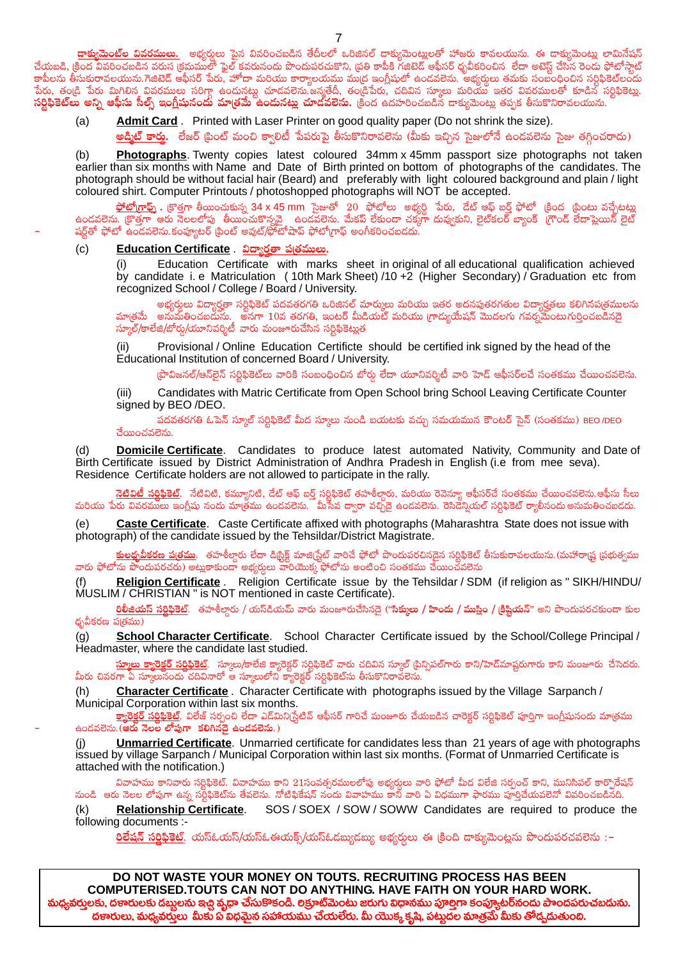<mark>దాక్వుమెంట్ల వివరములు.</mark> అభ్యర్శలు పైన వివరించబడిన తేదీలలో ఒరిజినల్ దాక్యుమెంట్లులతో హాజరు కావలయును. ఈ దాక్యుమెంటుౖ లామినేషన్ చేయబడి, క్రింద వివరించబడిన వరుస క్రమములో ఫైల్ కవరునందు పొందుపరచుకొని, ప్రతి కాపీకి గజిటెడ్ ఆఫీసర్ ధృవీకరించిన లేదా అటెస్ట్ చేసిన రెండు ఫోటోస్తాట్ కాపీలను తీసుకురావలయును.గెజిటెడ్ ఆఫీసర్ పేరు, హోదా మరియు కార్యాలయము ముద్ర ఇంగ్లీషులో ఉండవలెను. అభ్యర్థులు తమకు సంబంధించిన సర్టిఫికెట్లందు .<br>పేరు, తండి పేరు మిగిలిన వివరములు సరిగ్గా ఉందునట్టు చూడవలెను.జన్మతేదీ, తండ్రిపేరు, చదివిన స్కూలు మరియు ఇతర వివరములతో కూడిన సర్టిఫికెట్లు. **సర్టిఫికెట్లు అన్ని ఆఫీసు సీల్స్ ఇంగ్లీషునందు మాత్రమే ఉందునట్లు చూదవలెను.** క్రింద ఉదహరించబడిన దాక్యుమెంట్లు తప్పక తీసుకొనిరావలయును.

Admit Card . Printed with Laser Printer on good quality paper (Do not shrink the size).  $(a)$ 

<mark>అద్మిట్ కార</mark>్తు. లేజర్ [పింట్ మంచి క్వాలిటీ పేపరుపై తీసుకొనిరావలెను (మీకు ఇచ్చిన సైజులోనే ఉండవలెను సైజు తగ్గించరాదు)

Photographs. Twenty copies latest coloured 34mm x 45mm passport size photographs not taken  $(b)$ earlier than six months with Name and Date of Birth printed on bottom of photographs of the candidates. The photograph should be without facial hair (Beard) and preferably with light coloured background and plain / light coloured shirt. Computer Printouts / photoshopped photographs will NOT be accepted.

<mark> ఫోటోగ్రాఫ్స్ .</mark> క్రొత్తగా తీయించుకున్న 34 <mark>x 45 mm</mark> సైజుతో 20 ఫోటోలు అభ్యర్ధి పేరు, దేట్ ఆఫ్ బర్త్ ఫోటో (కింద టింటు వచ్చేటట్లు<br>ఉండవలెను. క్రొత్తగా ఆరు నెలలలోపు తీయించుకొన్నవై <sub>,</sub> ఉండవలెను. మేకప్ లేకుండా చక్కగా షర్ట్తతో ఫోటో ఉండవలెను.కంప్యూటర్ (పింట్ అవుట్/ఫోటోషాప్ ఫోటో(గాఫ్ అంగీకరించబడదు.

 $(c)$ Education Certificate . విద్యారతా ప్రతములు.

> Education Certificate with marks sheet in original of all educational qualification achieved  $(i)$ by candidate i. e Matriculation (10th Mark Sheet) /10 +2 (Higher Secondary) / Graduation etc from recognized School / College / Board / University.

> అభ్యర్శలు విద్యార్హతా సర్టిఫికెట్ పదవతరగతి ఒరిజినల్ మార్కులు మరియు ఇతర అదనపుతరగతుల విద్యార్హతలు కలిగినప(తములను మాత్రమే అనుమతించబదుసు. అనగా 10వ తరగతి, ఇంటర్ మీడియట్ మరియు గ్రాద్యుయేషన్ మొదలగు గవర్నమేంటుగుర్తించబడినదై  $\overline{\text{Gup}}$ ్)కాలేజి/బోర్డు/యూనివర్శిటీ వారు మంజూరుచేసిన సర్లిఫికెట్లుత

Provisional / Online Education Certificte should be certified ink signed by the head of the Educational Institution of concerned Board / University.

(పొవిజనల్/ఆన్5ైన్ సర్టిఫికెట్లు వారికి సంబంధించిన బోర్డు లేదా యూనివర్శిటీ వారి హెడ్ ఆఫీసర్లచే సంతకము చేయించవలెను.

 $(iii)$ Candidates with Matric Certificate from Open School bring School Leaving Certificate Counter signed by BEO /DEO.

పదవతరగతి ఓపెన్ స్కూల్ సరిఫికెట్ మీద స్కూలు నుండి బయటకు వచ్చు సమయమున కౌంటర్ సైన్ (సంతకము) BEO/DEO చేయించవలెను.

**Domicile Certificate**. Candidates to produce latest automated Nativity, Community and Date of (d) Birth Certificate issued by District Administration of Andhra Pradesh in English (i.e from mee seva). Residence Certificate holders are not allowed to participate in the rally.

<mark>నెటివిటీ సర్లిఫికెట్</mark>. నేటివిటి, కమ్యూనిటి, దేట్ ఆఫ్ బర్త్ సర్టిఫికెట్ తహశీల్దారు, మరియు రెవెన్యూ ఆఫీసర్చే సంతకము చేయించవలెను.ఆఫీసు సీలు మరియు పేరు వివరములు ఇంగ్లీషు నందు మాత్రము ఉండవలెను. మీసేవ ద్వారా వచ్చిదై ఉండవలెను. రెసిదేన్షియల్ సర్టిఫికెట్ ర్యాలీనందు అనుమతించబడదు.

 $(e)$ Caste Certificate. Caste Certificate affixed with photographs (Maharashtra State does not issue with photograph) of the candidate issued by the Tehsildar/District Magistrate.

<mark>కులధ్నవీకరణ ప@తము</mark>. తహశీలారు లేదా డి<sub>ట్రి</sub>క్ట్ మాజి(స్టేట్ వారిచే ఫోటో పొందుపరచినదైన సర్టిఫికెట్ తీసుకురావలయును.(మహారాష్ర్ట ప్రభుత్వము వారు ఫోటోను పొందుపరచరు) అట్లకాకుందా అభ్యర్థులు వారియొక్క ఫోటోను అంటించి సంతకము చేయించవలెను

Religion Certificate . Religion Certificate issue by the Tehsildar / SDM (if religion as " SIKH/HINDU/  $(f)$ MUSLIM / CHRISTIAN " is NOT mentioned in caste Certificate).

<mark>రిలీజియస్ సర్తిఫికెట్</mark>. తహశీలారు / యస్**డియమ్ వారు మంజూరుచేసినదై ("సిక్ములు / హిందు / ముస్లిం /** (కిష్ణి<mark>యన్</mark>" అని పొందుపరచకుండా కుల ధృవీకరణ పత్రము)

School Character Certificate. School Character Certificate issued by the School/College Principal /  $(q)$ Headmaster, where the candidate last studied.

<mark>స్మూలు క్యారెక్టర్ సర్టిఫికెట్</mark>. స్కూలు/కాలేజి క్యారెక్టర్ సర్టిఫికెట్ వారు చదివిన స్కూల్ (పిన్సిపల్గారు కానిస్తున్నారు కాని మంజూరు చేసెదరు. మీరు చివరగా ఏ సూలునందు చదివినారో ఆ స్మూలులోని క్యారెక్టర్ సర్టిఫికెట్ను తీసుకొనిరావలెను.

Character Certificate. Character Certificate with photographs issued by the Village Sarpanch /  $(h)$ Municipal Corporation within last six months.

క్యారెక్టర్ సర్టిఫికెట్. విలేజ్ సర్పంచి లేదా ఎద్మిని(స్టేటివ్ ఆఫీసర్ గారిచే మంజూరు చేయబడిన చారెక్టర్ సర్టిఫికెట్ పూర్తిగా ఇంగ్లీషునందు మా[తము ఉండవలెను. (ఆరు నెలల లోపుగా కలిగినదై ఉండవలెను.)

**Unmarried Certificate**. Unmarried certificate for candidates less than 21 years of age with photographs (i) issued by village Sarpanch / Municipal Corporation within last six months. (Format of Unmarried Certificate is attached with the notification.)

వివాహము కానివారు సర్లిఫికెట్. వివాహము కాని 21సంవత్సరములలోపు అభ్వర్తులు వారి ఫోటో మీద విలేజి సర్పంచ్ కాని, మునిసిపల్ కార్పొరేషన్ నుండి అరు నెలల లోపుగా ఉన్న సర్టఫికెట్ను తేవలెను. నోటిఫికేషన్ నందు వివాహము కానీ వారి ఏ విధముగా ఫారము పూర్షిచేయవలెనో వివరించబడినది.

**Relationship Certificate.** SOS / SOEX / SOW / SOWW Candidates are required to produce the  $(k)$ following documents :-

<mark>రిలేషన్ సర్లిఫికెట్</mark>. యస్ఓయస్/యస్ఓఈయక్స్/యస్ఓడబ్యుడబ్యు అభ్యర్శలు ఈ క్రింది దాక్యుమెంట్లను పొందుపరచవలెను :–

 $\overline{7}$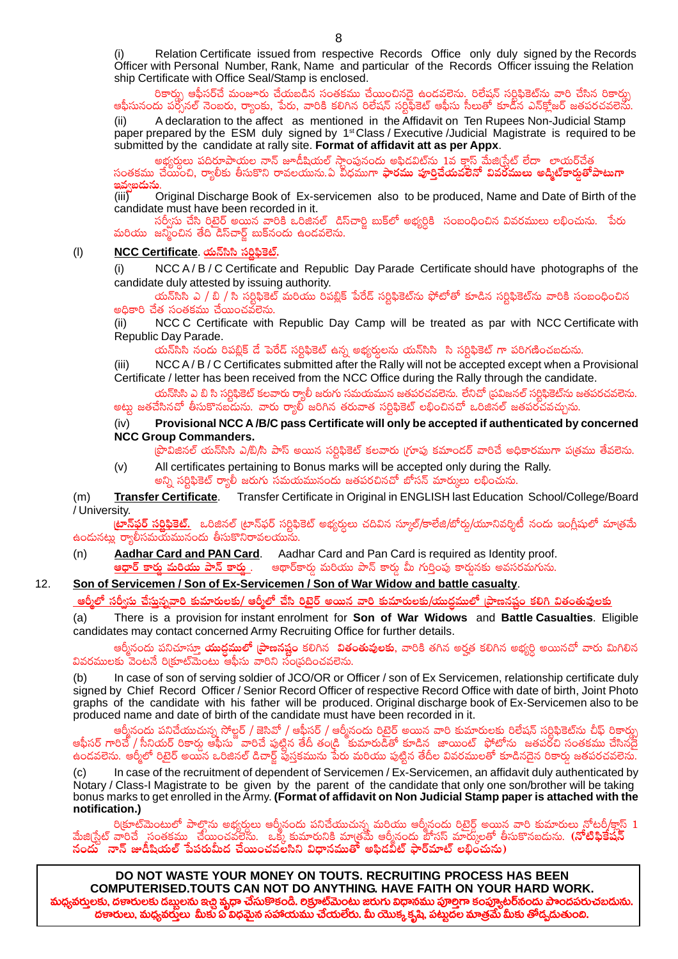Relation Certificate issued from respective Records Office only duly signed by the Records Officer with Personal Number, Rank, Name and particular of the Records Officer issuing the Relation ship Certificate with Office Seal/Stamp is enclosed.

రికార్ను ఆఫీసర్చే మంజూరు చేయబడిన సంతకము చేయించినదై ఉండవలెను. రిలేషన్ సర్టిఫికెట్ను వారి చేసిన రికార్ను ఆఫీసునందు పర్చోనల్ నెంబరు, ర్యాంకు, పేరు, వారికి కలిగిన రిలేషన్ సర్టిఫికెట్ ఆఫీసు సీలుతో కూడిన ఎన్క్లోజర్ జతపరచవలెను.

A declaration to the affect as mentioned in the Affidavit on Ten Rupees Non-Judicial Stamp  $(ii)$ paper prepared by the ESM duly signed by 1<sup>st</sup> Class / Executive / Judicial Magistrate is required to be submitted by the candidate at rally site. Format of affidavit att as per Appx.

అభ్యర్గులు పదిరూపాయల నాన్ జూడీషియల్ స్తాంపునందు అఫిదవిట్ను 1ైవ క్లాస్ మేజి(స్టేట్ లేదా లాయర్చేత్త

సంతకము చేయంచి, ర్యాలీకు తీసుకొని రావలయును.ఏ వీధముగా <mark>ఫారము పూర్తిచేయవలేనో వివరములు అడ్మిట్కార్లతోపాటుగా</mark> ఇవ్వబదున

Original Discharge Book of Ex-servicemen also to be produced, Name and Date of Birth of the  $(iii)$ candidate must have been recorded in it.

సర్వీసు చేసి రిటైర్ అయిన వారికి ఒరిజినల్ డిస్చార్టి బుక్లలో అభ్యర్ధికి సంబంధించిన వివరములు లభించును. పేరు మరియు జనించిన తేది డిస్ఐార్ బుక్నందు ఉండవలెను.

#### $(1)$ NCC Certificate యన్<sup>సి</sup>నీ సర్టిఫికెట్.

NCC A/B/C Certificate and Republic Day Parade Certificate should have photographs of the  $(i)$ candidate duly attested by issuing authority.

యన్**సిసి ఎ / బి / సి సర్లిఫికెట్ మరియు రిపబ్లిక్** పేరేద్ సర్లిఫికెట్ను ఫోటోతో కూడిన సర్లిఫికెట్ను వారికి సంబంధించిన అదికారి చేత సంతకము చేయించవలెను.

NCC C Certificate with Republic Day Camp will be treated as par with NCC Certificate with  $(ii)$ Republic Day Parade.

యన్సిసి నందు రిపబ్లిక్ డే పెరేడ్ సర్టిఫికెట్ ఉన్న అభ్యర్ధులను యన్సిసి సి సర్టిఫికెట్ గా పరిగణించబదును.

NCC A/B/C Certificates submitted after the Rally will not be accepted except when a Provisional  $(iii)$ Certificate / letter has been received from the NCC Office during the Rally through the candidate.

యన్సిసి ఎ బి సి సరిఫికెట్ కలవారు ర్వాలీ జరుగు సమయమున జతపరచవలెను. లేనిచో (పవిజనల్ సరిఫికెట్ను జతపరచవలెను. అట్లు జతచేసినచో తీసుకొనబదుును. వారు ర్యాల్ జరిగిన తరువాత సర్టిఫికెట్ లభించినచో ఒరిజినల్ జతపరచవచ్చును.

#### Provisional NCC A/B/C pass Certificate will only be accepted if authenticated by concerned  $(iv)$ **NCC Group Commanders.**

(పొవిజినల్ యన్సిసి ఎ/బి/సి పాస్ అయిన సర్టిఫికెట్ కలవారు (గూపు కమాందర్ వారిచే అధికారముగా ప(తము తేవలెను.

All certificates pertaining to Bonus marks will be accepted only during the Rally.  $(v)$ అన్ని సర్టిఫికెట్ ర్యాలీ జరుగు సమయమునందు జతపరచినచో బోసన్ మార్ములు లభించును.

**Transfer Certificate.** Transfer Certificate in Original in ENGLISH last Education School/College/Board  $(m)$ / University.

<mark>ట్రాన్ఫర్ సర్లిఫికెట్.</mark> ఒరిజినల్ ట్రాన్ఫర్ సర్టిఫికెట్ అభ్యర్శలు చదివిన స్కూల్/కాలేజి/బోర్డు/యూనివర్శిటీ నందు ఇంగ్లీషులో మాత్రమే ఉందునట్లు ర్యాలీసమయమునందు తీసుకొనిరావలయును.

Aadhar Card and PAN Card. Aadhar Card and Pan Card is required as Identity proof.  $(n)$ **ఆధార్ కార్తు మరియు పాన్ కార్తు** . ఆథార్కార్తు మరియు పాన్ కార్తు మీ గుర్తింపు కార్తునకు అవసరమగును.

#### $12.$ Son of Servicemen / Son of Ex-Servicemen / Son of War Widow and battle casualty.

అర్మీలో సరీ్సు చేసున్నవారి కుమారులకు/ ఆర్మీలో చేసి రిటెర్ అయిన వారి కుమారులకు/యుద్ధమలో ।పాణనషం కలిగి వితంతువులకు

There is a provision for instant enrolment for Son of War Widows and Battle Casualties. Eligible  $(a)$ candidates may contact concerned Army Recruiting Office for further details.

ఆర్మీనందు పనిచూస్తూ **యుద్ధములో [పాణనష్టం** కలిగిన **వితంతువులకు**, వారికి తగిన అర్హత కలిగిన అభ్యర్ధి అయినచో వారు మిగిలిన వివరములకు వెంటనే రిక్రూట్మెంటు ఆఫీసు వారిని సంస్థదించవలెను.

In case of son of serving soldier of JCO/OR or Officer / son of Ex Servicemen, relationship certificate duly  $(b)$ signed by Chief Record Officer / Senior Record Officer of respective Record Office with date of birth, Joint Photo graphs of the candidate with his father will be produced. Original discharge book of Ex-Servicemen also to be produced name and date of birth of the candidate must have been recorded in it.

ఆర్మీనందు పనిచేయుచున్న సోల్టర్ / జెసివో / ఆఫీసర్ / ఆర్మీనందు రిటైర్ అయిన వారి కుమారులకు రిలేషన్ సర్టిఫికెట్ను చీఫ్ రికార్డ్న ఆఫీసర్ గారిచే / సీనియర్ రికార్డు ఆఫీసు ఇాాంచే పుట్టిన తేదీ తండ్రి కుమారుడీతో కూడిన జాయింట్ ఫోటోను జతపరోచి సంతకము చేసినదై ఉండవలెను. ఆర్మీలో రిటైర్ అయిన ఒరిజినల్ డిచార్ట్ పుస్తకమును పేరు మరియు పుట్టిన తేదీల వివరములతో కూడినదైన రికార్డు జతపరచవలెను.

In case of the recruitment of dependent of Servicemen / Ex-Servicemen, an affidavit duly authenticated by  $(c)$ Notary / Class-I Magistrate to be given by the parent of the candidate that only one son/brother will be taking bonus marks to get enrolled in the Army. (Format of affidavit on Non Judicial Stamp paper is attached with the notification.)

ంక్రూట్మెంటులో పాల్గొను అభ్యర్ధులు ఆర్మీనందు పనిచేయుచున్న మరియు ఆర్మీనందు రిటైర్డ్ అయిన వారి కుమారులు నోటరీ/క్డాస్ 1<br>మేజి(స్టేట్ వారిచే సంతకము చేయించవలెను. ఒక్క కుమారునికి మా[తమే ఆర్మీనందు బోసస్ మార్కులతో తీసుకొనబడును.

DO NOT WASTE YOUR MONEY ON TOUTS. RECRUITING PROCESS HAS BEEN COMPUTERISED.TOUTS CAN NOT DO ANYTHING. HAVE FAITH ON YOUR HARD WORK. మధ్యవర్తులకు, దణరులకు దబ్బలను ఇచ్చి వృధా చేసుకొకండి. లక్రూట్మెంటు జరుగు విధానము పూల్తిగా కంప్యూటర్నందు పాందపరుచబడును. దణారులు, మధ్యవరులు మీకు ప విధమైన సహాయము చేయలేరు. మీ యొక్క కృషి, పట్నదల మాత్రమే మీకు తోడ్చడుతుంది.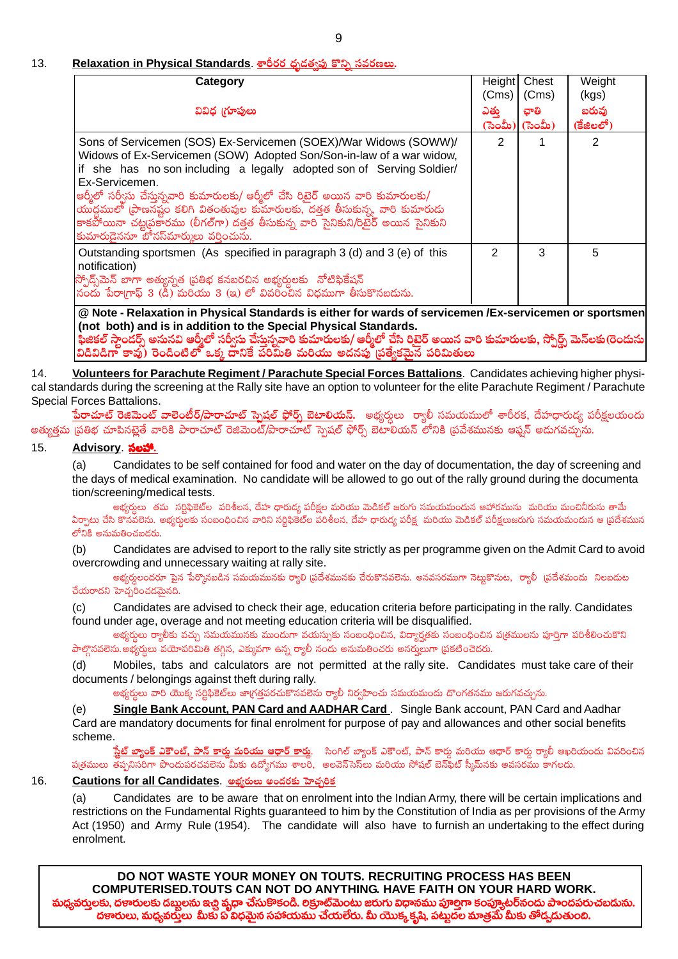## 9

#### $13.$ <u>Relaxation in Physical Standards. శారీరర ధృ</u>డత్వతు కొన్ని సవర్

| Category                                                                                                                                                                                                                                                                                                                                                                                                                                                                                                                                  | (Cms)          | Height Chest<br>(Cms) | Weight<br>(kgs)    |
|-------------------------------------------------------------------------------------------------------------------------------------------------------------------------------------------------------------------------------------------------------------------------------------------------------------------------------------------------------------------------------------------------------------------------------------------------------------------------------------------------------------------------------------------|----------------|-----------------------|--------------------|
| వివిధ (గూపులు                                                                                                                                                                                                                                                                                                                                                                                                                                                                                                                             | ఎతు            | ఛాతి<br>(ಸಂಮಿ) (ಸಂಮಿ) | బరువు<br>(కేజిలలో) |
| Sons of Servicemen (SOS) Ex-Servicemen (SOEX)/War Widows (SOWW)/<br>Widows of Ex-Servicemen (SOW) Adopted Son/Son-in-law of a war widow,<br>if she has no son including a legally adopted son of Serving Soldier/<br>Ex-Servicemen.<br>ఆర్మీలో సర్వీసు చేస్తున్నవారి కుమారులకు/ ఆర్మీలో చేసి రిటైర్ అయిన వారి కుమారులకు/<br>యుద్ధములో (పాణనష్టం కలిగి వితంతువుల కుమారులకు, దత్తత తీసుకున్న, వారి కుమారుడు<br>కాకపోయినా చట్టప్రకారము (లీగల్గా) దత్తత తీసుకున్న వారి సైనికుని/రిటైర్ అయిన సైనికుని<br>కుమారుడైననూ బోనస్మార్ములు వర్తించును. | $\overline{2}$ |                       | 2                  |
| Outstanding sportsmen (As specified in paragraph 3 (d) and 3 (e) of this<br>notification)<br>స్పోద్స్మేమెన్ బాగా అత్యున్నత (పతిభ కనబరచిన అభ్యర్తులకు సోటిఫికేషన్<br>నందు పేరాగాఫ్ 3 (డి) మరియు 3 (ఇ) లో వివరించిన విధముగా తీసుకొనబడును.                                                                                                                                                                                                                                                                                                   | 2              | 3                     | 5                  |

ards of servicemen / (not both) and is in addition to the Special Physical Standards. ఫీజికల్ స్టాండర్స్ అనునవి ఆర్మీలో సర్వీసు చేస్తున్నవారి కుమారులకు/ ఆర్మీలో చేసి రిటైర్ అయిన వారి కుమారులకు, స్పోర్ట్స్ మెన్లకు(రెందును<br>విడివిడిగా కావు) రెండింటిలో ఒక్క దానికే పరిమితి మరియు అదనపు (పత్యేకమైన పరిమితులు

14. Volunteers for Parachute Regiment / Parachute Special Forces Battalions. Candidates achieving higher physical standards during the screening at the Rally site have an option to volunteer for the elite Parachute Regiment / Parachute Special Forces Battalions.

<mark>పేరాచూట్ రెజిమెంట్ వాలెంటీర్/పారాచూట్ స్నెషల్ ఫోర్స్ బెటాలియన్.</mark> అభ్యర్తులు ర్యాలీ సమయములో శారీరక, దేహధారుడ్య పరీక్షలయందు అత్యత్రమ (పతిభ చూపినటైతే వారికి పారాచూట్ రెజిమెంట్/పారాచూట్ స్పెషల్ ఫోర్స్ బెటాలియన్ లోనికి (పవేశమునకు ఆఫ్షన్ అదుగవచ్చును.

#### $15.$ Advisory సలహా.

 $(a)$ Candidates to be self contained for food and water on the day of documentation, the day of screening and the days of medical examination. No candidate will be allowed to go out of the rally ground during the documenta tion/screening/medical tests.

అభ్యర్తులు తమ సర్టిఫికెట్ల పరిశీలన, దేహ ధారుడ్వ పరీక్షల మరియు మెడికల్ జరుగు సమయమందున ఆహారమును మరియు మంచినీరును తామే ఏర్పాటు చేసి కొనవలెను. అభ్యర్ధులకు సంబంధించిన వారిని సర్ధిఫికెట్ల పరిశీలన, దేహ ధారుడ్య పరీక్ష, మరియు మెడికల్ పరీక్షలుజరుగు సమయమందున ఆ ప్రదేశమున లోనికి అనుమతించబడరు.

Candidates are advised to report to the rally site strictly as per programme given on the Admit Card to avoid  $(b)$ overcrowding and unnecessary waiting at rally site.

అభ్యర్ధులందరూ పైన పేర్కొనబడిన సమయమునకు ర్యాలి (పదేశమునకు చేరుకొనవలెను. అనవసరముగా నెట్టుకొనుట, ర్యాలీ (పదేశమందు నిలబదుట చేయరాదని హెచ్చరించడమైనది.

Candidates are advised to check their age, education criteria before participating in the rally. Candidates  $(c)$ found under age, overage and not meeting education criteria will be disqualified.

అభ్వర్తులు ర్యాలీకు వచ్చు సమయమునకు ముందుగా వయస్సుకు సంబంధించిన, విద్యార్థతకు సంబంధించిన ప(తములను పూర్తిగా పరిశీలించుకొని పాల్గొనవలెను.అభ్యర్ధులు వయోపరిమితి తగ్గిన, ఎక్కువగా ఉన్న ర్యాలీ నందు అనుమతించరు అనర్హులుగా (పకటించెదరు.

Mobiles, tabs and calculators are not permitted at the rally site. Candidates must take care of their  $(d)$ documents / belongings against theft during rally.

అభ్వర్తులు వారి యొక్క సర్టిఫికెట్లు జాగ్రత్తపరచుకొనవలెను ర్యాలీ నిర్వహించు సమయమందు దొంగతనము జరుగవచ్చును.

Single Bank Account, PAN Card and AADHAR Card. Single Bank account, PAN Card and Aadhar (e) Card are mandatory documents for final enrolment for purpose of pay and allowances and other social benefits scheme.

<mark>స్టేట్ బ్యాంక్ ఎకౌంట్, పాన్ కార్తు మరియు ఆధార్ కార్త</mark>ు. సింగిల్ బ్యాంక్ ఎకౌంట్, పాన్ కార్తు మరియు ఆధార్ కార్తు ర్యాలీ ఆఖరియందు వివరించిన ప(తములు తప్పనిసరిగా పొందుపరచవలెను మీకు ఉద్యోగము శాలరి, అలవెన్సెస్ట్ మరియు సోషల్ బెన్ఫ్షేట్ స్కీమ్నకు అవసరము కాగలదు.

#### $16$ Cautions for all Candidates. అభ్యరులు అందరకు హెచ్చరిక

Candidates are to be aware that on enrolment into the Indian Army, there will be certain implications and  $(a)$ restrictions on the Fundamental Rights guaranteed to him by the Constitution of India as per provisions of the Army Act (1950) and Army Rule (1954). The candidate will also have to furnish an undertaking to the effect during enrolment.

DO NOT WASTE YOUR MONEY ON TOUTS. RECRUITING PROCESS HAS BEEN COMPUTERISED. TOUTS CAN NOT DO ANYTHING. HAVE FAITH ON YOUR HARD WORK. మధ్యవర్తులకు, దణారులకు డబ్బలను ఇచ్చి <mark>వృధా చే</mark>సుకొళండి. లక్రూట్మెంటు జరుగు విధానము పూల్తిగా కంప్యూటర్**నందు పాందపరుచబ**దును. దణారులు, మధ్యవరులు మీకు ప్ విధమైన సహాయము చేయలేరు. మీ యొక్క కృష్ణి, పట్నదల మాత్రమే మీకు తోడ్చడుతుంది.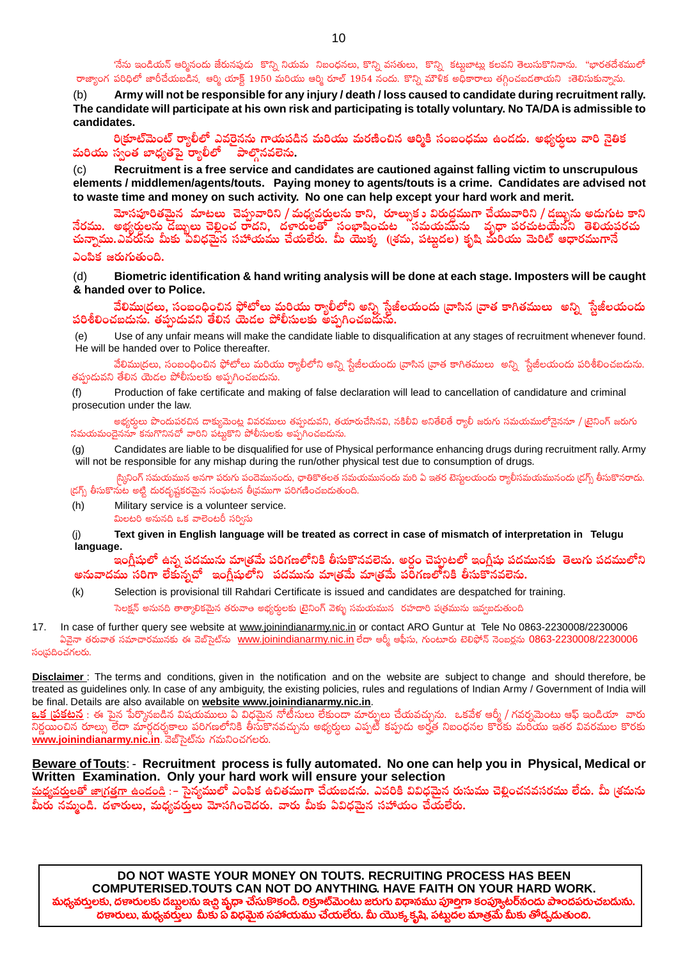'నేను ఇండియన్ ఆర్మినందు జేరునపుడు కొన్ని నియమ నిబంధనలు, కొన్ని వసతులు, కొన్ని కట్టబాట్లు కలవని తెలుసుకొనినాను. "భారతదేశములో రాజ్యాంగ పరిధిలో జారీచేయబడిన, ఆర్మి యాక్ట్ 1950 మరియు ఆర్మి రూల్ 1954 నందు. కొన్ని మౌళిక అధికారాలు తగ్గించబడతాయని ఃతెలిసుకున్నాను.

Army will not be responsible for any injury / death / loss caused to candidate during recruitment rally.  $(b)$ The candidate will participate at his own risk and participating is totally voluntary. No TA/DA is admissible to candidates.

రి(కూట్మెంట్ ర్యాలీలో ఎవరైనను గాయపడిన మరియు మరణించిన ఆర్మికి సంబంధము ఉండదు. అభ్యర్థలు వారి నైతిక మరియు స్వంత బాధ్యతపై ర్యాలీలో ్పాల్గినవలెను.

Recruitment is a free service and candidates are cautioned against falling victim to unscrupulous elements / middlemen/agents/touts. Paying money to agents/touts is a crime. Candidates are advised not to waste time and money on such activity. No one can help except your hard work and merit.

మోసపూరితమైన మాటలు చెప్పువారిని / మధ్యవర్తులను కాని, రూల్సుకు విరుద్ధముగా చేయువారిని / డబ్బును అదుగుట కాని ఎంపిక జరుగుతుంది.

 $(d)$ Biometric identification & hand writing analysis will be done at each stage. Imposters will be caught & handed over to Police.

వేలిము|దలు, సంబంధించిన ఫోటోలు మరియు ర్యాలీలోని అన్ని స్టేజీలయందు |వాసిన |వాత కాగితములు అన్ని స్టేజీలయందు పరిశీలించబదును. తప్పదువని తేలిన యెడల పోలీసులకు అప్పగించబదును.

Use of any unfair means will make the candidate liable to disqualification at any stages of recruitment whenever found.  $(e)$ He will be handed over to Police thereafter.

వేలిముద్రలు, సంబంధించిన ఫోటోలు మరియు ర్యాలీలోని అన్ని స్టేజీలయందు [వాసిన [వాత కాగితములు అన్ని స్టేజీలయందు పరిశీలించబదును. తప్రుడువని తేలిన యెడల పోలీసులకు అప్పగించబడును.

 $(f)$ Production of fake certificate and making of false declaration will lead to cancellation of candidature and criminal prosecution under the law.

అభ్యర్ధులు పొందుపరచిన దాక్యుమెంట్ల వివరములు తప్పుడువని, తయారుచేసినవి, నకిలీవి అనితేలితే ర్యాలీ జరుగు సమయములోనైననూ / టైనింగ్ జరుగు సమయమందైననూ కనుగొనినచో వారిని పట్టుకొని పోలీసులకు అప్పగించబడును.

Candidates are liable to be disqualified for use of Physical performance enhancing drugs during recruitment rally. Army  $(g)$ will not be responsible for any mishap during the run/other physical test due to consumption of drugs.

స్మినింగ్ సమయమున అనగా పరుగు పందెమునందు, ఛాతికొతలత సమయమునందు మరి ఏ ఇతర టెస్మలయందు ర్యాలీసమయమునందు (డగ్స్ తీసుకొనరాదు. (డగ్స్ తీసుకొనుట అట్టి దురదృష్టకరమైన సంఘటన తీ(వముగా పరిగణించబడుతుంది.

- Military service is a volunteer service.  $(h)$
- మిలటరి అనునది ఒక వాలెంటరీ సర్విస్

Text given in English language will be treated as correct in case of mismatch of interpretation in Telugu  $(i)$ language.

ఇంగ్లీషులో ఉన్న పదమును మాత్రమే పరిగణలోనికి తీసుకొనవలెను. అర్ధం చెప్తుటలో ఇంగ్లీషు పదమునకు తెలుగు పదములోని అనువాదము సరిగా లేకున్నచో ఇంగ్లీషులోని పదమును మాత్రమే మాత్రమే పరిగణలోనికి తీసుకొనవలెను.

Selection is provisional till Rahdari Certificate is issued and candidates are despatched for training.  $(k)$ సెలక్షన్ అనునది తాత్కాలికమైన తరువాతి అభ్యర్శలకు [టైనింగ్ వెళ్ళు సమయమున రహదారి ప(తమును ఇవ్వబడుతుంది

 $17$ In case of further query see website at www.joinindianarmy.nic.in or contact ARO Guntur at Tele No 0863-2230008/2230006 ఏవైనా తరువాత సమాచారమునకు ఈ వెబ్సైట్సు www.joinindianarmy.nic.in లేదా ఆర్మీ ఆఫీసు, గుంటూరు టెలిఫోన్ నెంబర్లను 0863-2230008/2230006 సంవదించగలరు.

**Disclaimer**: The terms and conditions, given in the notification and on the website are subject to change and should therefore, be treated as guidelines only. In case of any ambiguity, the existing policies, rules and regulations of Indian Army / Government of India will be final. Details are also available on website www.joinindianarmy.nic.in.

<mark>ఒక [పకటన</mark> : ఈ పైన పేర్మొనబడిన విషయములు ఏ విధమైన నోటీసులు లేకుందా మార్పులు చేయవచ్చును. ఒకవేళ ఆర్మీ / గవర్నమెంటు ఆఫ్ ఇండియా వారు www.joinindianarmy.nic.in. వెబ్సెట్ను గమనించగలరు.

## Beware of Touts: - Recruitment process is fully automated. No one can help you in Physical, Medical or Written Examination. Only your hard work will ensure your selection

<u> మధ్యవరులతో జాగ్రత్తగా ఉండండి</u> :– సైన్యములో ఎంపిక ఉచితముగా చేయబడను. ఎవరికి వివిధమైన రుసుము చెల్లించనవసరము లేదు. మీ (శమను మీరు నమ్మండి. దళారులు, మధ్యవరు్లు మోసగించెదరు. వారు మీకు ఏవిధమైన సహాయం చేయలేరు.

DO NOT WASTE YOUR MONEY ON TOUTS. RECRUITING PROCESS HAS BEEN COMPUTERISED.TOUTS CAN NOT DO ANYTHING. HAVE FAITH ON YOUR HARD WORK. మధ్యవర్తులకు, దణరులకు దబ్బలను ఇచ్చి వ్యధా చేసుకొకండి. లక్రూట్మెంటు జరుగు విధానము పూల్తిగా కంప్యూటర్నందు పాందపరుచబడును. దణారులు, మధ్యవరులు మీకు ప్ విధమైన సహాయము చేయలేరు. మీ యొక్క కృషి, పట్నుదల మాత్రమే మీకు తోడ్పడుతుంది.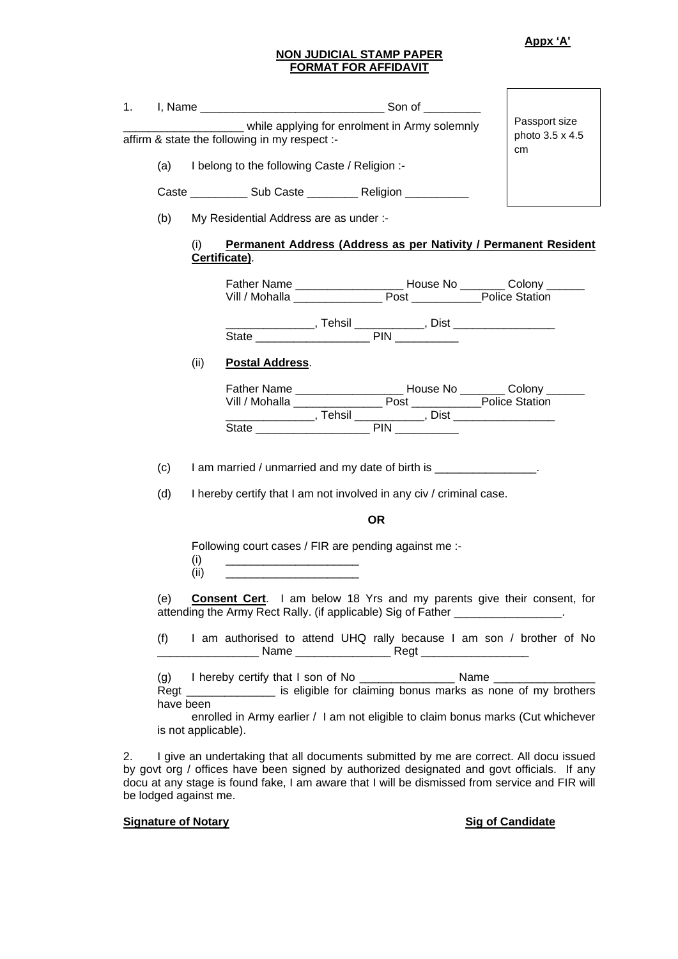**Appx 'A'**

## **NON JUDICIAL STAMP PAPER FORMAT FOR AFFIDAVIT**

| 1. |                          |                                               | _______________ while applying for enrolment in Army solemnly                                                                                                                                                                            | Passport size         |
|----|--------------------------|-----------------------------------------------|------------------------------------------------------------------------------------------------------------------------------------------------------------------------------------------------------------------------------------------|-----------------------|
|    |                          |                                               | affirm & state the following in my respect :-                                                                                                                                                                                            | photo 3.5 x 4.5<br>cm |
|    | (a)                      | I belong to the following Caste / Religion :- |                                                                                                                                                                                                                                          |                       |
|    |                          |                                               | Caste ______________ Sub Caste _____________ Religion ______________                                                                                                                                                                     |                       |
|    | (b)                      |                                               | My Residential Address are as under :-                                                                                                                                                                                                   |                       |
|    |                          | (i)<br>Certificate).                          | Permanent Address (Address as per Nativity / Permanent Resident                                                                                                                                                                          |                       |
|    |                          |                                               | Father Name ______________________ House No ________ Colony _______<br>Vill / Mohalla <b>Post</b> Post Police Station                                                                                                                    |                       |
|    |                          |                                               |                                                                                                                                                                                                                                          |                       |
|    |                          | (ii)                                          | <b>Postal Address.</b>                                                                                                                                                                                                                   |                       |
|    |                          |                                               | Father Name ______________________ House No ________ Colony _______<br>___________________, Tehsil _____________, Dist ___________________                                                                                               |                       |
|    | (c)                      |                                               | I am married / unmarried and my date of birth is ________________.                                                                                                                                                                       |                       |
|    | (d)                      |                                               | I hereby certify that I am not involved in any civ / criminal case.                                                                                                                                                                      |                       |
|    |                          |                                               | <b>OR</b>                                                                                                                                                                                                                                |                       |
|    |                          | (i)<br>(ii)                                   | Following court cases / FIR are pending against me :-<br><u> 1989 - Johann Barbara, martin da kasar Amerikaansk politik (</u>                                                                                                            |                       |
|    | (e)                      |                                               | <b>Consent Cert.</b> I am below 18 Yrs and my parents give their consent, for<br>attending the Army Rect Rally. (if applicable) Sig of Father _________________.                                                                         |                       |
|    | (f)                      |                                               | I am authorised to attend UHQ rally because I am son / brother of No                                                                                                                                                                     |                       |
| 2. | (g)<br>Regt<br>have been | is not applicable).                           | is eligible for claiming bonus marks as none of my brothers<br>enrolled in Army earlier / I am not eligible to claim bonus marks (Cut whichever<br>I give an undertaking that all documents submitted by me are correct. All docu issued |                       |
|    |                          |                                               | by govt org / offices have been signed by authorized designated and govt officials. If any                                                                                                                                               |                       |

docu at any stage is found fake, I am aware that I will be dismissed from service and FIR will

**Signature of Notary Signature of Notary Signature of Notary Signature of Notary Signature of Notary** 

be lodged against me.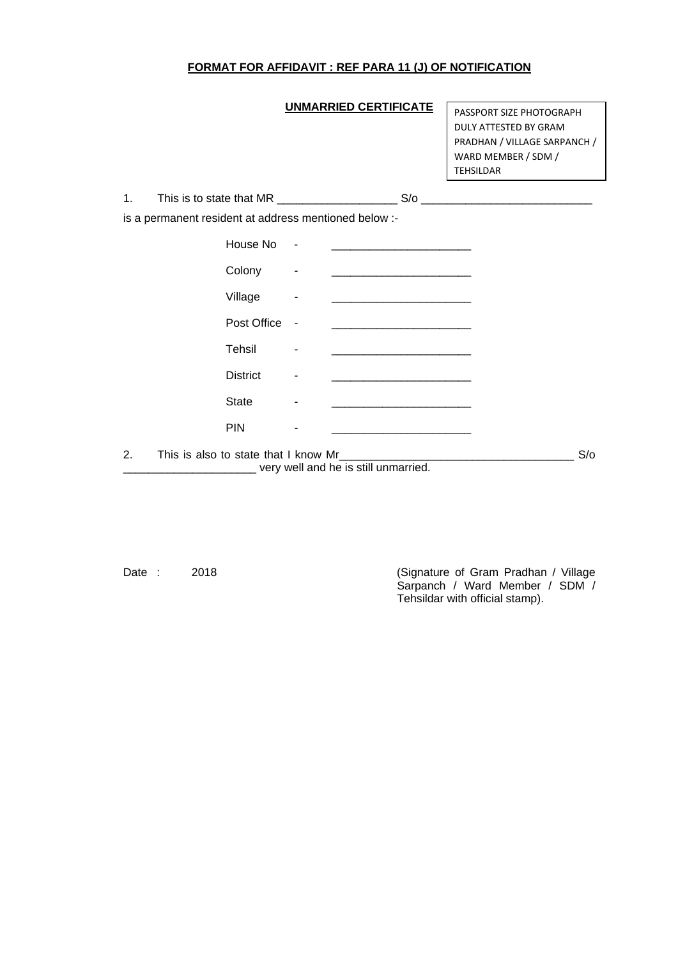## **FORMAT FOR AFFIDAVIT : REF PARA 11 (J) OF NOTIFICATION**

## **UNMARRIED CERTIFICATE**

PASSPORT SIZE PHOTOGRAPH DULY ATTESTED BY GRAM PRADHAN / VILLAGE SARPANCH / WARD MEMBER / SDM / TEHSILDAR

|    | is a permanent resident at address mentioned below :- |                                                                                                                       |     |
|----|-------------------------------------------------------|-----------------------------------------------------------------------------------------------------------------------|-----|
|    | House No -                                            | <u> Territoria de la contenentación de la contenenta</u>                                                              |     |
|    | Colony                                                | <u> 1989 - Johann Barn, mars eta bat erroman erroman erroman erroman erroman erroman erroman erroman erroman err</u>  |     |
|    | Village                                               | <u> 1989 - Johann Barn, mars eta bainar eta baina eta baina eta baina eta baina eta baina eta baina eta baina eta</u> |     |
|    | Post Office                                           |                                                                                                                       |     |
|    | Tehsil                                                |                                                                                                                       |     |
|    | <b>District</b>                                       | <u> 1989 - Johann John Stein, mars an deus Amerikaansk kommunister (</u>                                              |     |
|    | <b>State</b>                                          |                                                                                                                       |     |
|    | <b>PIN</b>                                            |                                                                                                                       |     |
| 2. | This is also to state that I know Mr                  |                                                                                                                       | S/O |

\_\_\_\_\_\_\_\_\_\_\_\_\_\_\_\_\_\_\_\_\_ very well and he is still unmarried.

Date : 2018 2018 2018 (Signature of Gram Pradhan / Village Sarpanch / Ward Member / SDM / Tehsildar with official stamp).